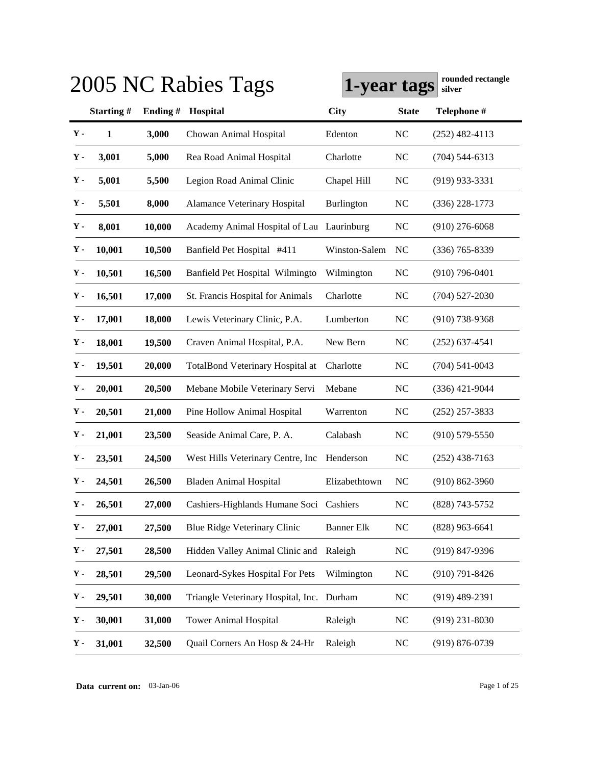|               |           |         | 2005 NC Rabies Tags                       | 1-year tags       |              | rounded rectangle<br>silver |
|---------------|-----------|---------|-------------------------------------------|-------------------|--------------|-----------------------------|
|               | Starting# | Ending# | Hospital                                  | <b>City</b>       | <b>State</b> | Telephone #                 |
| $\mathbf Y$ - | 1         | 3,000   | Chowan Animal Hospital                    | Edenton           | NC           | $(252)$ 482-4113            |
| $\mathbf Y$ - | 3,001     | 5,000   | Rea Road Animal Hospital                  | Charlotte         | <b>NC</b>    | $(704)$ 544-6313            |
| $\mathbf Y$ - | 5,001     | 5,500   | Legion Road Animal Clinic                 | Chapel Hill       | <b>NC</b>    | $(919)$ 933-3331            |
| Υ-            | 5,501     | 8,000   | <b>Alamance Veterinary Hospital</b>       | Burlington        | <b>NC</b>    | $(336)$ 228-1773            |
| $\mathbf Y$ - | 8,001     | 10,000  | Academy Animal Hospital of Lau            | Laurinburg        | <b>NC</b>    | $(910)$ 276-6068            |
| Υ-            | 10,001    | 10,500  | Banfield Pet Hospital #411                | Winston-Salem     | NC           | $(336)$ 765-8339            |
| Υ-            | 10,501    | 16,500  | Banfield Pet Hospital Wilmingto           | Wilmington        | NC           | $(910)$ 796-0401            |
| $\mathbf Y$ - | 16,501    | 17,000  | St. Francis Hospital for Animals          | Charlotte         | <b>NC</b>    | $(704)$ 527-2030            |
| Υ-            | 17,001    | 18,000  | Lewis Veterinary Clinic, P.A.             | Lumberton         | <b>NC</b>    | $(910)$ 738-9368            |
| Υ-            | 18,001    | 19,500  | Craven Animal Hospital, P.A.              | New Bern          | <b>NC</b>    | $(252)$ 637-4541            |
| Υ-            | 19,501    | 20,000  | <b>TotalBond Veterinary Hospital at</b>   | Charlotte         | <b>NC</b>    | $(704)$ 541-0043            |
| Υ-            | 20,001    | 20,500  | Mebane Mobile Veterinary Servi            | Mebane            | <b>NC</b>    | $(336)$ 421-9044            |
| Υ-            | 20,501    | 21,000  | Pine Hollow Animal Hospital               | Warrenton         | <b>NC</b>    | $(252)$ 257-3833            |
| Υ-            | 21,001    | 23,500  | Seaside Animal Care, P. A.                | Calabash          | <b>NC</b>    | $(910)$ 579-5550            |
| Υ-            | 23,501    | 24,500  | West Hills Veterinary Centre, Inc.        | Henderson         | <b>NC</b>    | $(252)$ 438-7163            |
| Υ-            | 24,501    | 26,500  | <b>Bladen Animal Hospital</b>             | Elizabethtown     | NC           | $(910) 862 - 3960$          |
| $\mathbf Y$ - | 26,501    | 27,000  | Cashiers-Highlands Humane Soci Cashiers   |                   | NC           | $(828)$ 743-5752            |
| Υ-            | 27,001    | 27,500  | Blue Ridge Veterinary Clinic              | <b>Banner Elk</b> | $\rm NC$     | $(828)$ 963-6641            |
| Υ-            | 27,501    | 28,500  | Hidden Valley Animal Clinic and           | Raleigh           | <b>NC</b>    | $(919)$ 847-9396            |
| Υ-            | 28,501    | 29,500  | Leonard-Sykes Hospital For Pets           | Wilmington        | NC           | $(910) 791 - 8426$          |
| Υ-            | 29,501    | 30,000  | Triangle Veterinary Hospital, Inc. Durham |                   | <b>NC</b>    | $(919)$ 489-2391            |
| Υ-            | 30,001    | 31,000  | <b>Tower Animal Hospital</b>              | Raleigh           | NC           | $(919)$ 231-8030            |
| Υ.            | 31,001    | 32,500  | Quail Corners An Hosp & 24-Hr             | Raleigh           | NC           | $(919) 876 - 0739$          |

**Data current on:** 03-Jan-06 Page 1 of 25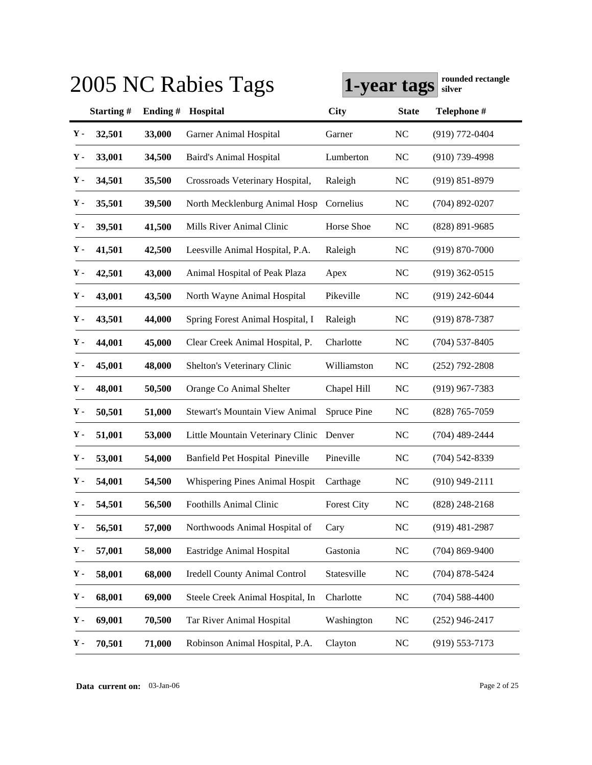|                |           |         | 2005 NC Rabies Tags                   |                    | 1-year tags    | rounded rectangle<br>silver |
|----------------|-----------|---------|---------------------------------------|--------------------|----------------|-----------------------------|
|                | Starting# | Ending# | Hospital                              | <b>City</b>        | <b>State</b>   | Telephone #                 |
| Υ.             | 32,501    | 33,000  | Garner Animal Hospital                | Garner             | <b>NC</b>      | (919) 772-0404              |
| Υ.             | 33,001    | 34,500  | <b>Baird's Animal Hospital</b>        | Lumberton          | <b>NC</b>      | $(910)$ 739-4998            |
| Υ.             | 34,501    | 35,500  | Crossroads Veterinary Hospital,       | Raleigh            | <b>NC</b>      | $(919) 851 - 8979$          |
| Υ.             | 35,501    | 39,500  | North Mecklenburg Animal Hosp         | Cornelius          | <b>NC</b>      | $(704)$ 892-0207            |
| Υ-             | 39,501    | 41,500  | Mills River Animal Clinic             | Horse Shoe         | <b>NC</b>      | $(828)$ 891-9685            |
| Υ.             | 41,501    | 42,500  | Leesville Animal Hospital, P.A.       | Raleigh            | <b>NC</b>      | $(919) 870 - 7000$          |
| Υ.             | 42,501    | 43,000  | Animal Hospital of Peak Plaza         | Apex               | <b>NC</b>      | $(919)$ 362-0515            |
| Υ-             | 43,001    | 43,500  | North Wayne Animal Hospital           | Pikeville          | N <sub>C</sub> | $(919)$ 242-6044            |
| Υ.             | 43,501    | 44,000  | Spring Forest Animal Hospital, I      | Raleigh            | <b>NC</b>      | $(919)$ 878-7387            |
| Υ-             | 44,001    | 45,000  | Clear Creek Animal Hospital, P.       | Charlotte          | <b>NC</b>      | $(704)$ 537-8405            |
| Υ-             | 45,001    | 48,000  | Shelton's Veterinary Clinic           | Williamston        | <b>NC</b>      | $(252)$ 792-2808            |
| $\mathbf{Y}$ - | 48,001    | 50,500  | Orange Co Animal Shelter              | Chapel Hill        | <b>NC</b>      | $(919)$ 967-7383            |
| Υ-             | 50,501    | 51,000  | <b>Stewart's Mountain View Animal</b> | Spruce Pine        | <b>NC</b>      | $(828)$ 765-7059            |
| $\mathbf Y$ -  | 51,001    | 53,000  | Little Mountain Veterinary Clinic     | Denver             | <b>NC</b>      | $(704)$ 489-2444            |
| Υ-             | 53,001    | 54,000  | Banfield Pet Hospital Pineville       | Pineville          | <b>NC</b>      | $(704) 542 - 8339$          |
| Υ-             | 54,001    | 54,500  | Whispering Pines Animal Hospit        | Carthage           | <b>NC</b>      | $(910)$ 949-2111            |
| $\mathbf{Y}$ - | 54,501    | 56,500  | <b>Foothills Animal Clinic</b>        | <b>Forest City</b> | NC             | $(828)$ 248-2168            |
| $\mathbf Y$ -  | 56,501    | 57,000  | Northwoods Animal Hospital of         | Cary               | <b>NC</b>      | $(919)$ 481-2987            |
| Υ-             | 57,001    | 58,000  | Eastridge Animal Hospital             | Gastonia           | <b>NC</b>      | $(704) 869 - 9400$          |
| $\mathbf Y$ -  | 58,001    | 68,000  | Iredell County Animal Control         | Statesville        | <b>NC</b>      | $(704)$ 878-5424            |
| $\mathbf Y$ -  | 68,001    | 69,000  | Steele Creek Animal Hospital, In      | Charlotte          | <b>NC</b>      | $(704)$ 588-4400            |
| Υ-             | 69,001    | 70,500  | Tar River Animal Hospital             | Washington         | <b>NC</b>      | $(252)$ 946-2417            |
| Υ.             | 70,501    | 71,000  | Robinson Animal Hospital, P.A.        | Clayton            | N <sub>C</sub> | $(919) 553 - 7173$          |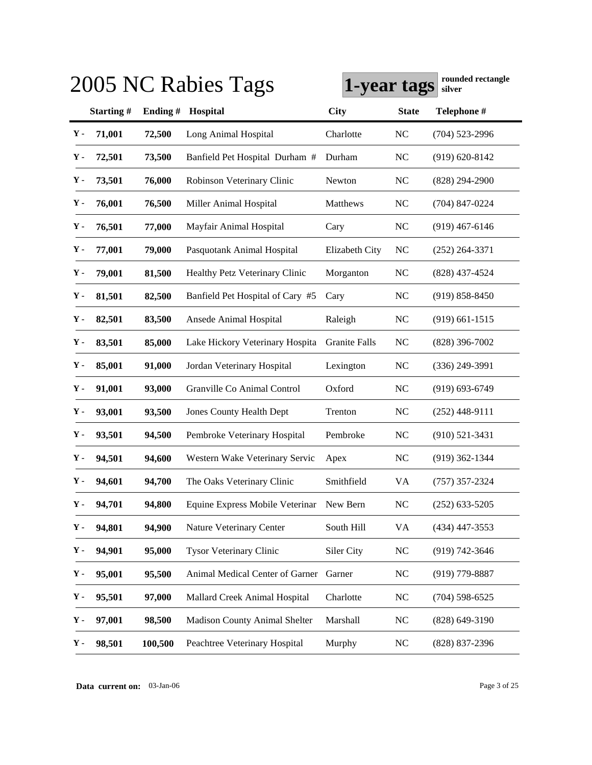|               |           |         | 2005 NC Rabies Tags                      | 1-year tags          |                | rounded rectangle<br>silver |
|---------------|-----------|---------|------------------------------------------|----------------------|----------------|-----------------------------|
|               | Starting# | Ending# | Hospital                                 | City                 | <b>State</b>   | Telephone #                 |
| $\mathbf Y$ - | 71,001    | 72,500  | Long Animal Hospital                     | Charlotte            | <b>NC</b>      | $(704)$ 523-2996            |
| Υ.            | 72,501    | 73,500  | Banfield Pet Hospital Durham #           | Durham               | <b>NC</b>      | $(919) 620 - 8142$          |
| Υ-            | 73,501    | 76,000  | Robinson Veterinary Clinic               | Newton               | <b>NC</b>      | $(828)$ 294-2900            |
| Υ.            | 76,001    | 76,500  | Miller Animal Hospital                   | Matthews             | <b>NC</b>      | $(704)$ 847-0224            |
| Υ-            | 76,501    | 77,000  | Mayfair Animal Hospital                  | Cary                 | <b>NC</b>      | $(919)$ 467-6146            |
| Υ-            | 77,001    | 79,000  | Pasquotank Animal Hospital               | Elizabeth City       | <b>NC</b>      | $(252)$ 264-3371            |
| Υ-            | 79,001    | 81,500  | Healthy Petz Veterinary Clinic           | Morganton            | <b>NC</b>      | (828) 437-4524              |
| $\mathbf Y$ - | 81,501    | 82,500  | Banfield Pet Hospital of Cary #5         | Cary                 | <b>NC</b>      | $(919) 858 - 8450$          |
| Υ-            | 82,501    | 83,500  | Ansede Animal Hospital                   | Raleigh              | <b>NC</b>      | $(919)$ 661-1515            |
| Υ-            | 83,501    | 85,000  | Lake Hickory Veterinary Hospita          | <b>Granite Falls</b> | N <sub>C</sub> | $(828)$ 396-7002            |
| Υ-            | 85,001    | 91,000  | Jordan Veterinary Hospital               | Lexington            | <b>NC</b>      | $(336)$ 249-3991            |
| Υ-            | 91,001    | 93,000  | Granville Co Animal Control              | Oxford               | N <sub>C</sub> | $(919) 693 - 6749$          |
| Υ-            | 93,001    | 93,500  | <b>Jones County Health Dept</b>          | Trenton              | N <sub>C</sub> | $(252)$ 448-9111            |
| Υ-            | 93,501    | 94,500  | Pembroke Veterinary Hospital             | Pembroke             | N <sub>C</sub> | $(910)$ 521-3431            |
| Υ-            | 94,501    | 94,600  | Western Wake Veterinary Servic           | Apex                 | N <sub>C</sub> | $(919)$ 362-1344            |
| Υ-            | 94,601    | 94,700  | The Oaks Veterinary Clinic               | Smithfield           | VA             | $(757)$ 357-2324            |
| $\mathbf Y$ - | 94,701    | 94,800  | Equine Express Mobile Veterinar New Bern |                      | NC             | $(252)$ 633-5205            |
| $\mathbf Y$ - | 94,801    | 94,900  | Nature Veterinary Center                 | South Hill           | VA             | (434) 447-3553              |
| Υ-            | 94,901    | 95,000  | <b>Tysor Veterinary Clinic</b>           | Siler City           | <b>NC</b>      | (919) 742-3646              |
| Υ-            | 95,001    | 95,500  | Animal Medical Center of Garner          | Garner               | <b>NC</b>      | (919) 779-8887              |
| Υ-            | 95,501    | 97,000  | Mallard Creek Animal Hospital            | Charlotte            | <b>NC</b>      | $(704)$ 598-6525            |
| Υ-            | 97,001    | 98,500  | <b>Madison County Animal Shelter</b>     | Marshall             | <b>NC</b>      | $(828) 649 - 3190$          |
| Υ.            | 98,501    | 100,500 | Peachtree Veterinary Hospital            | Murphy               | <b>NC</b>      | (828) 837-2396              |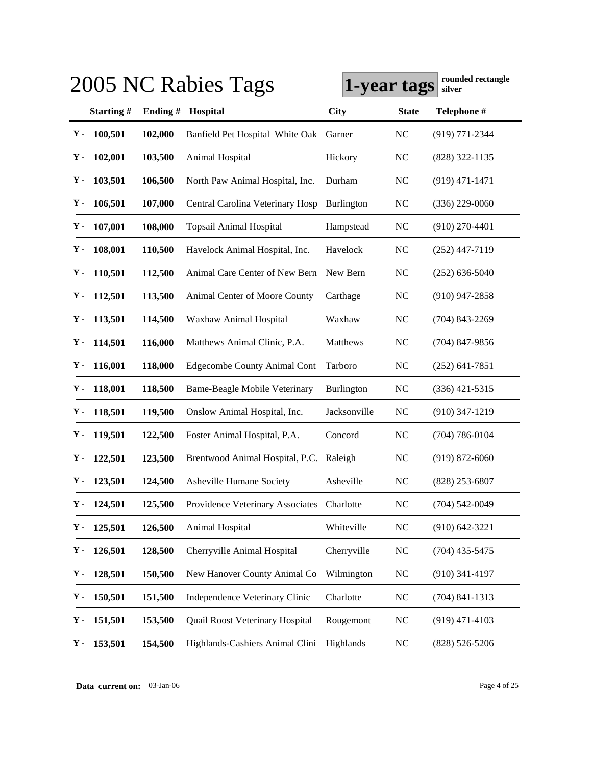|               |               |         | 2005 NC Rabies Tags                        | 1-year tags       |              | rounded rectangle<br>silver |
|---------------|---------------|---------|--------------------------------------------|-------------------|--------------|-----------------------------|
|               | Starting#     | Ending# | Hospital                                   | <b>City</b>       | <b>State</b> | Telephone #                 |
| Υ-            | 100,501       | 102,000 | Banfield Pet Hospital White Oak            | Garner            | NC           | $(919) 771 - 2344$          |
| Υ.            | 102,001       | 103,500 | Animal Hospital                            | Hickory           | NC           | (828) 322-1135              |
| Υ.            | 103,501       | 106,500 | North Paw Animal Hospital, Inc.            | Durham            | <b>NC</b>    | $(919)$ 471-1471            |
| Υ.            | 106,501       | 107,000 | Central Carolina Veterinary Hosp           | <b>Burlington</b> | NC           | $(336)$ 229-0060            |
| Υ.            | 107,001       | 108,000 | <b>Topsail Animal Hospital</b>             | Hampstead         | <b>NC</b>    | $(910)$ 270-4401            |
| Υ.            | 108,001       | 110,500 | Havelock Animal Hospital, Inc.             | Havelock          | NC           | $(252)$ 447-7119            |
| γ.            | 110,501       | 112,500 | Animal Care Center of New Bern             | New Bern          | NC           | $(252)$ 636-5040            |
| Υ.            | 112,501       | 113,500 | Animal Center of Moore County              | Carthage          | NC           | $(910)$ 947-2858            |
| Υ.            | 113,501       | 114,500 | Waxhaw Animal Hospital                     | Waxhaw            | NC           | $(704)$ 843-2269            |
| Υ.            | 114,501       | 116,000 | Matthews Animal Clinic, P.A.               | Matthews          | NC           | $(704)$ 847-9856            |
| Υ.            | 116,001       | 118,000 | <b>Edgecombe County Animal Cont</b>        | Tarboro           | NC           | $(252)$ 641-7851            |
| γ.            | 118,001       | 118,500 | Bame-Beagle Mobile Veterinary              | Burlington        | NC           | $(336)$ 421-5315            |
| Υ.            | 118,501       | 119,500 | Onslow Animal Hospital, Inc.               | Jacksonville      | <b>NC</b>    | $(910)$ 347-1219            |
| Υ.            | 119,501       | 122,500 | Foster Animal Hospital, P.A.               | Concord           | $\rm NC$     | $(704) 786 - 0104$          |
| Υ-            | 122,501       | 123,500 | Brentwood Animal Hospital, P.C.            | Raleigh           | NC           | $(919) 872 - 6060$          |
| Υ-            | 123,501       | 124,500 | Asheville Humane Society                   | Asheville         | NC           | $(828)$ 253-6807            |
|               | $Y - 124,501$ | 125,500 | Providence Veterinary Associates Charlotte |                   | NC           | $(704)$ 542-0049            |
| γ.            | 125,501       | 126,500 | Animal Hospital                            | Whiteville        | NC           | $(910) 642 - 3221$          |
| Υ.            | 126,501       | 128,500 | Cherryville Animal Hospital                | Cherryville       | NC           | $(704)$ 435-5475            |
| Υ.            | 128,501       | 150,500 | New Hanover County Animal Co               | Wilmington        | NC           | $(910)$ 341-4197            |
| Υ.            | 150,501       | 151,500 | Independence Veterinary Clinic             | Charlotte         | $\rm NC$     | $(704)$ 841-1313            |
| Υ-            | 151,501       | 153,500 | Quail Roost Veterinary Hospital            | Rougemont         | NC           | $(919)$ 471-4103            |
| $\mathbf Y$ - | 153,501       | 154,500 | Highlands-Cashiers Animal Clini            | Highlands         | NC           | $(828) 526 - 5206$          |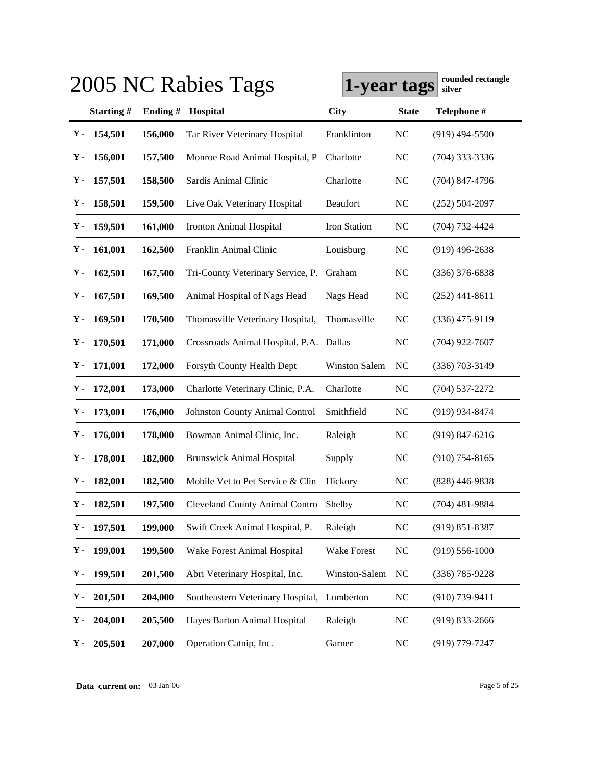|    |               |         | 2005 NC Rabies Tags                     | 1-year tags          |              | rounded rectangle<br>silver |
|----|---------------|---------|-----------------------------------------|----------------------|--------------|-----------------------------|
|    | Starting#     | Ending# | Hospital                                | <b>City</b>          | <b>State</b> | Telephone #                 |
| Υ- | 154,501       | 156,000 | Tar River Veterinary Hospital           | Franklinton          | NC           | $(919)$ 494-5500            |
| Υ. | 156,001       | 157,500 | Monroe Road Animal Hospital, P          | Charlotte            | NC           | $(704)$ 333-3336            |
| Υ. | 157,501       | 158,500 | Sardis Animal Clinic                    | Charlotte            | <b>NC</b>    | $(704)$ 847-4796            |
| γ. | 158,501       | 159,500 | Live Oak Veterinary Hospital            | Beaufort             | NC           | $(252)$ 504-2097            |
| Υ. | 159,501       | 161,000 | Ironton Animal Hospital                 | Iron Station         | <b>NC</b>    | $(704) 732 - 4424$          |
| Υ. | 161,001       | 162,500 | Franklin Animal Clinic                  | Louisburg            | NC           | $(919)$ 496-2638            |
| γ. | 162,501       | 167,500 | Tri-County Veterinary Service, P.       | Graham               | NC           | $(336)$ 376-6838            |
| Υ. | 167,501       | 169,500 | Animal Hospital of Nags Head            | Nags Head            | NC           | $(252)$ 441-8611            |
| Υ. | 169,501       | 170,500 | Thomasville Veterinary Hospital,        | Thomasville          | NC           | $(336)$ 475-9119            |
| Υ. | 170,501       | 171,000 | Crossroads Animal Hospital, P.A. Dallas |                      | NC           | $(704)$ 922-7607            |
| Υ. | 171,001       | 172,000 | Forsyth County Health Dept              | <b>Winston Salem</b> | NC           | $(336)$ 703-3149            |
| γ. | 172,001       | 173,000 | Charlotte Veterinary Clinic, P.A.       | Charlotte            | $\rm NC$     | $(704)$ 537-2272            |
| γ. | 173,001       | 176,000 | <b>Johnston County Animal Control</b>   | Smithfield           | NC           | (919) 934-8474              |
| Υ. | 176,001       | 178,000 | Bowman Animal Clinic, Inc.              | Raleigh              | NC           | $(919)$ 847-6216            |
| γ. | 178,001       | 182,000 | <b>Brunswick Animal Hospital</b>        | Supply               | NC           | $(910)$ 754-8165            |
| Υ- | 182,001       | 182,500 | Mobile Vet to Pet Service & Clin        | Hickory              | NC           | $(828)$ 446-9838            |
|    | $Y - 182,501$ | 197,500 | Cleveland County Animal Contro          | Shelby               | NC           | $(704)$ 481-9884            |
| γ. | 197,501       | 199,000 | Swift Creek Animal Hospital, P.         | Raleigh              | <b>NC</b>    | $(919) 851 - 8387$          |
| γ. | 199,001       | 199,500 | Wake Forest Animal Hospital             | Wake Forest          | NC           | $(919) 556 - 1000$          |
| Υ. | 199,501       | 201,500 | Abri Veterinary Hospital, Inc.          | Winston-Salem        | <b>NC</b>    | (336) 785-9228              |
| Υ. | 201,501       | 204,000 | Southeastern Veterinary Hospital,       | Lumberton            | NC           | $(910)$ 739-9411            |
| Υ. | 204,001       | 205,500 | Hayes Barton Animal Hospital            | Raleigh              | NC           | $(919) 833 - 2666$          |
| Υ. | 205,501       | 207,000 | Operation Catnip, Inc.                  | Garner               | NC           | (919) 779-7247              |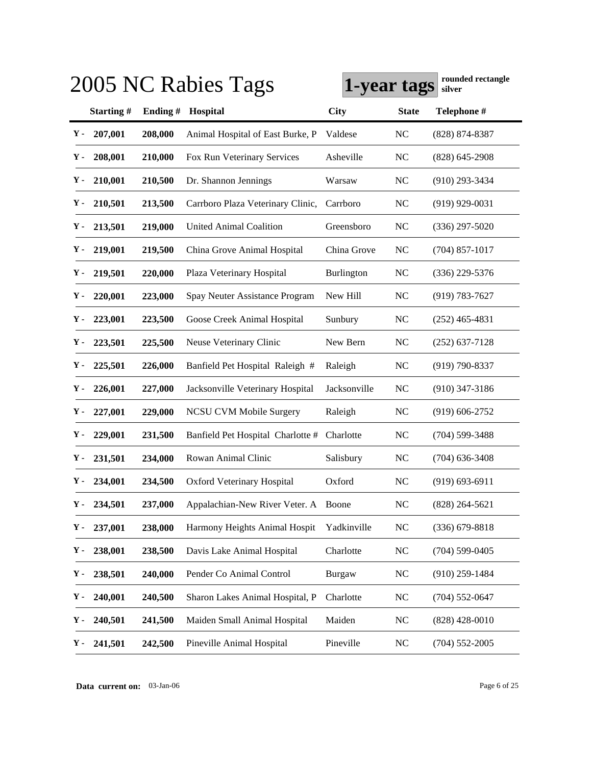|    |               |         | 2005 NC Rabies Tags                  | 1-year tags       |                | rounded rectangle<br>silver |
|----|---------------|---------|--------------------------------------|-------------------|----------------|-----------------------------|
|    | Starting#     | Ending# | Hospital                             | <b>City</b>       | <b>State</b>   | Telephone #                 |
| Υ- | 207,001       | 208,000 | Animal Hospital of East Burke, P     | Valdese           | <b>NC</b>      | (828) 874-8387              |
| Υ. | 208,001       | 210,000 | Fox Run Veterinary Services          | Asheville         | NC             | $(828)$ 645-2908            |
| Υ. | 210,001       | 210,500 | Dr. Shannon Jennings                 | Warsaw            | <b>NC</b>      | $(910)$ 293-3434            |
| Υ. | 210,501       | 213,500 | Carrboro Plaza Veterinary Clinic,    | Carrboro          | <b>NC</b>      | $(919)$ 929-0031            |
| Υ. | 213,501       | 219,000 | <b>United Animal Coalition</b>       | Greensboro        | <b>NC</b>      | $(336)$ 297-5020            |
| Υ. | 219,001       | 219,500 | China Grove Animal Hospital          | China Grove       | <b>NC</b>      | $(704)$ 857-1017            |
| Υ. | 219,501       | 220,000 | Plaza Veterinary Hospital            | <b>Burlington</b> | NC             | $(336)$ 229-5376            |
| Υ. | 220,001       | 223,000 | Spay Neuter Assistance Program       | New Hill          | N <sub>C</sub> | $(919) 783 - 7627$          |
| Υ. | 223,001       | 223,500 | Goose Creek Animal Hospital          | Sunbury           | <b>NC</b>      | $(252)$ 465-4831            |
| Υ. | 223,501       | 225,500 | Neuse Veterinary Clinic              | New Bern          | N <sub>C</sub> | $(252)$ 637-7128            |
| Υ. | 225,501       | 226,000 | Banfield Pet Hospital Raleigh #      | Raleigh           | <b>NC</b>      | (919) 790-8337              |
| Υ. | 226,001       | 227,000 | Jacksonville Veterinary Hospital     | Jacksonville      | <b>NC</b>      | $(910)$ 347-3186            |
| Υ. | 227,001       | 229,000 | <b>NCSU CVM Mobile Surgery</b>       | Raleigh           | N <sub>C</sub> | $(919) 606 - 2752$          |
| Υ. | 229,001       | 231,500 | Banfield Pet Hospital Charlotte #    | Charlotte         | N <sub>C</sub> | $(704)$ 599-3488            |
| Υ. | 231,501       | 234,000 | Rowan Animal Clinic                  | Salisbury         | <b>NC</b>      | $(704)$ 636-3408            |
| Υ. | 234,001       | 234,500 | <b>Oxford Veterinary Hospital</b>    | Oxford            | N <sub>C</sub> | $(919) 693 - 6911$          |
|    | $Y - 234,501$ | 237,000 | Appalachian-New River Veter. A Boone |                   | NC             | $(828)$ 264-5621            |
| Υ. | 237,001       | 238,000 | Harmony Heights Animal Hospit        | Yadkinville       | <b>NC</b>      | $(336)$ 679-8818            |
| Υ- | 238,001       | 238,500 | Davis Lake Animal Hospital           | Charlotte         | <b>NC</b>      | $(704) 599 - 0405$          |
| Υ- | 238,501       | 240,000 | Pender Co Animal Control             | <b>Burgaw</b>     | <b>NC</b>      | $(910)$ 259-1484            |
| Υ- | 240,001       | 240,500 | Sharon Lakes Animal Hospital, P      | Charlotte         | <b>NC</b>      | $(704)$ 552-0647            |
| Υ- | 240,501       | 241,500 | Maiden Small Animal Hospital         | Maiden            | <b>NC</b>      | $(828)$ 428-0010            |
| Υ. | 241,501       | 242,500 | Pineville Animal Hospital            | Pineville         | <b>NC</b>      | $(704)$ 552-2005            |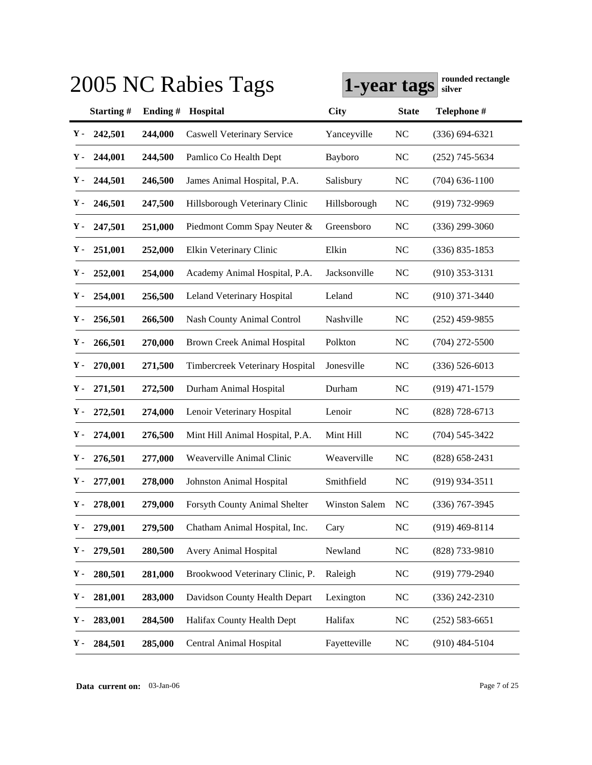|    |               |         | 2005 NC Rabies Tags                  | 1-year tags          |              | rounded rectangle<br>silver |
|----|---------------|---------|--------------------------------------|----------------------|--------------|-----------------------------|
|    | Starting#     | Ending# | Hospital                             | <b>City</b>          | <b>State</b> | Telephone #                 |
| Υ. | 242,501       | 244,000 | <b>Caswell Veterinary Service</b>    | Yanceyville          | NC           | $(336) 694 - 6321$          |
| Υ. | 244,001       | 244,500 | Pamlico Co Health Dept               | Bayboro              | NC           | $(252)$ 745-5634            |
| Υ. | 244,501       | 246,500 | James Animal Hospital, P.A.          | Salisbury            | NC           | $(704)$ 636-1100            |
| γ. | 246,501       | 247,500 | Hillsborough Veterinary Clinic       | Hillsborough         | NC           | (919) 732-9969              |
| Υ. | 247,501       | 251,000 | Piedmont Comm Spay Neuter &          | Greensboro           | NC           | $(336)$ 299-3060            |
| γ. | 251,001       | 252,000 | Elkin Veterinary Clinic              | Elkin                | NC           | $(336) 835 - 1853$          |
| γ. | 252,001       | 254,000 | Academy Animal Hospital, P.A.        | Jacksonville         | NC           | $(910)$ 353-3131            |
| Υ. | 254,001       | 256,500 | Leland Veterinary Hospital           | Leland               | NC           | $(910)$ 371-3440            |
| γ. | 256,501       | 266,500 | <b>Nash County Animal Control</b>    | Nashville            | NC           | $(252)$ 459-9855            |
| Υ. | 266,501       | 270,000 | Brown Creek Animal Hospital          | Polkton              | NC           | $(704)$ 272-5500            |
| Υ. | 270,001       | 271,500 | Timbercreek Veterinary Hospital      | Jonesville           | NC           | $(336)$ 526-6013            |
| Υ. | 271,501       | 272,500 | Durham Animal Hospital               | Durham               | NC           | $(919)$ 471-1579            |
| Υ. | 272,501       | 274,000 | Lenoir Veterinary Hospital           | Lenoir               | NC           | $(828)$ 728-6713            |
| Υ. | 274,001       | 276,500 | Mint Hill Animal Hospital, P.A.      | Mint Hill            | NC           | $(704) 545 - 3422$          |
| Υ- | 276,501       | 277,000 | Weaverville Animal Clinic            | Weaverville          | NC           | $(828)$ 658-2431            |
| Υ- | 277,001       | 278,000 | Johnston Animal Hospital             | Smithfield           | NC           | $(919)$ 934-3511            |
|    | $Y - 278,001$ | 279,000 | <b>Forsyth County Animal Shelter</b> | <b>Winston Salem</b> | NC           | $(336)$ 767-3945            |
| Υ- | 279,001       | 279,500 | Chatham Animal Hospital, Inc.        | Cary                 | NC           | $(919)$ 469-8114            |
| Υ. | 279,501       | 280,500 | Avery Animal Hospital                | Newland              | NC           | (828) 733-9810              |
| Υ. | 280,501       | 281,000 | Brookwood Veterinary Clinic, P.      | Raleigh              | NC           | (919) 779-2940              |
| Υ. | 281,001       | 283,000 | Davidson County Health Depart        | Lexington            | NC           | $(336)$ 242-2310            |
| Υ- | 283,001       | 284,500 | Halifax County Health Dept           | Halifax              | NC           | $(252) 583 - 6651$          |
| Υ. | 284,501       | 285,000 | Central Animal Hospital              | Fayetteville         | NC           | $(910)$ 484-5104            |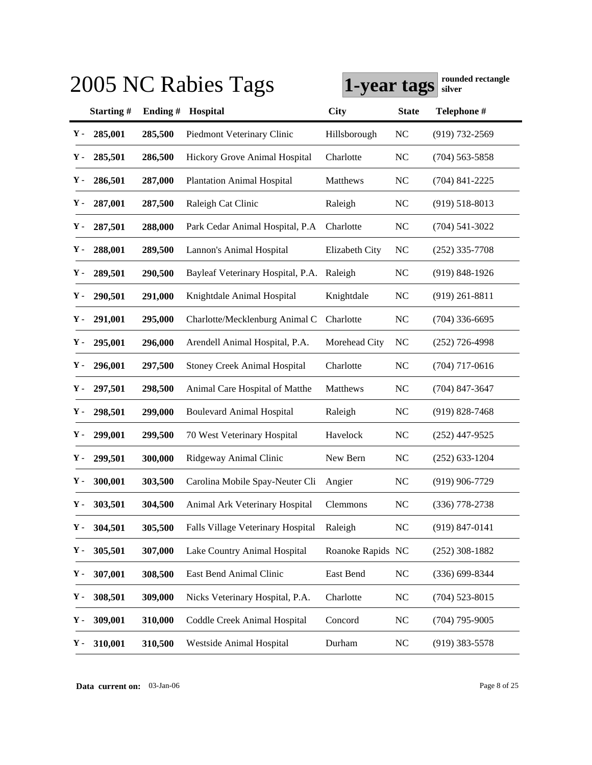|             |           |         | 2005 NC Rabies Tags                 | 1-year tags       |                | rounded rectangle<br>silver |
|-------------|-----------|---------|-------------------------------------|-------------------|----------------|-----------------------------|
|             | Starting# | Ending# | Hospital                            | <b>City</b>       | <b>State</b>   | Telephone #                 |
| Υ.          | 285,001   | 285,500 | Piedmont Veterinary Clinic          | Hillsborough      | <b>NC</b>      | $(919) 732 - 2569$          |
| Υ.          | 285,501   | 286,500 | Hickory Grove Animal Hospital       | Charlotte         | <b>NC</b>      | $(704)$ 563-5858            |
| Υ.          | 286,501   | 287,000 | <b>Plantation Animal Hospital</b>   | Matthews          | <b>NC</b>      | $(704)$ 841-2225            |
| Υ.          | 287,001   | 287,500 | Raleigh Cat Clinic                  | Raleigh           | <b>NC</b>      | $(919) 518 - 8013$          |
| Υ.          | 287,501   | 288,000 | Park Cedar Animal Hospital, P.A.    | Charlotte         | <b>NC</b>      | $(704)$ 541-3022            |
| Υ.          | 288,001   | 289,500 | Lannon's Animal Hospital            | Elizabeth City    | N <sub>C</sub> | $(252)$ 335-7708            |
| Υ.          | 289,501   | 290,500 | Bayleaf Veterinary Hospital, P.A.   | Raleigh           | <b>NC</b>      | $(919) 848 - 1926$          |
| Υ-          | 290,501   | 291,000 | Knightdale Animal Hospital          | Knightdale        | NC             | $(919)$ 261-8811            |
| Υ.          | 291,001   | 295,000 | Charlotte/Mecklenburg Animal C      | Charlotte         | N <sub>C</sub> | $(704)$ 336-6695            |
| Υ-          | 295,001   | 296,000 | Arendell Animal Hospital, P.A.      | Morehead City     | NC             | $(252)$ 726-4998            |
| Υ-          | 296,001   | 297,500 | <b>Stoney Creek Animal Hospital</b> | Charlotte         | N <sub>C</sub> | $(704)$ 717-0616            |
| Υ.          | 297,501   | 298,500 | Animal Care Hospital of Matthe      | Matthews          | N <sub>C</sub> | (704) 847-3647              |
| Υ-          | 298,501   | 299,000 | <b>Boulevard Animal Hospital</b>    | Raleigh           | <b>NC</b>      | $(919)$ 828-7468            |
| ү.          | 299,001   | 299,500 | 70 West Veterinary Hospital         | Havelock          | N <sub>C</sub> | (252) 447-9525              |
| Υ-          | 299,501   | 300,000 | Ridgeway Animal Clinic              | New Bern          | NC             | $(252)$ 633-1204            |
| Υ-          | 300,001   | 303,500 | Carolina Mobile Spay-Neuter Cli     | Angier            | N <sub>C</sub> | $(919)$ 906-7729            |
| ${\bf Y}$ - | 303,501   | 304,500 | Animal Ark Veterinary Hospital      | Clemmons          | NC             | $(336)$ 778-2738            |
| Υ.          | 304,501   | 305,500 | Falls Village Veterinary Hospital   | Raleigh           | <b>NC</b>      | $(919) 847 - 0141$          |
| Υ.          | 305,501   | 307,000 | Lake Country Animal Hospital        | Roanoke Rapids NC |                | $(252)$ 308-1882            |
| Υ-          | 307,001   | 308,500 | East Bend Animal Clinic             | East Bend         | NC             | $(336) 699 - 8344$          |
| Υ.          | 308,501   | 309,000 | Nicks Veterinary Hospital, P.A.     | Charlotte         | <b>NC</b>      | $(704)$ 523-8015            |
| Υ.          | 309,001   | 310,000 | Coddle Creek Animal Hospital        | Concord           | <b>NC</b>      | $(704)$ 795-9005            |
| Υ.          | 310,001   | 310,500 | Westside Animal Hospital            | Durham            | <b>NC</b>      | $(919)$ 383-5578            |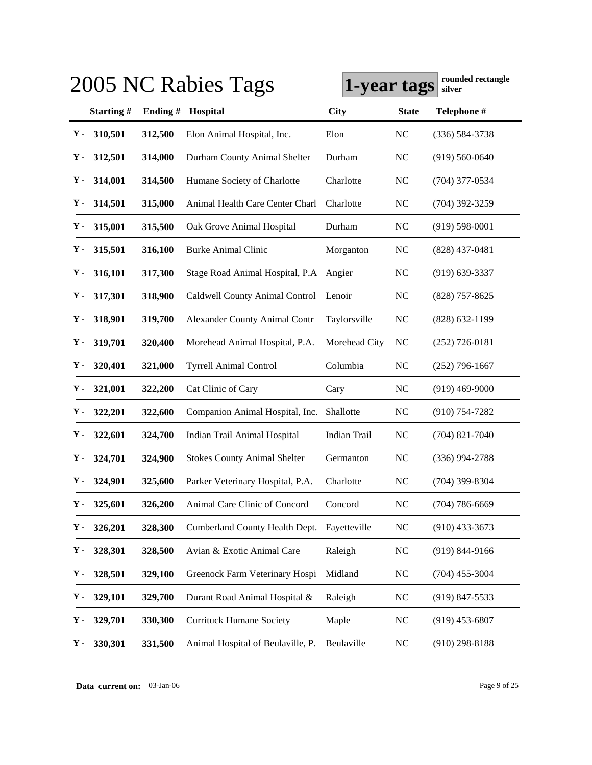|    |               |         | 2005 NC Rabies Tags                  | 1-year tags   |                | rounded rectangle<br>silver |
|----|---------------|---------|--------------------------------------|---------------|----------------|-----------------------------|
|    | Starting#     | Ending# | Hospital                             | <b>City</b>   | <b>State</b>   | Telephone #                 |
| Υ- | 310,501       | 312,500 | Elon Animal Hospital, Inc.           | Elon          | <b>NC</b>      | $(336) 584 - 3738$          |
| Υ. | 312,501       | 314,000 | Durham County Animal Shelter         | Durham        | N <sub>C</sub> | $(919) 560 - 0640$          |
| Υ. | 314,001       | 314,500 | Humane Society of Charlotte          | Charlotte     | N <sub>C</sub> | (704) 377-0534              |
| Υ. | 314,501       | 315,000 | Animal Health Care Center Charl      | Charlotte     | N <sub>C</sub> | $(704)$ 392-3259            |
| Υ. | 315,001       | 315,500 | Oak Grove Animal Hospital            | Durham        | <b>NC</b>      | $(919) 598 - 0001$          |
| Υ. | 315,501       | 316,100 | <b>Burke Animal Clinic</b>           | Morganton     | <b>NC</b>      | $(828)$ 437-0481            |
| Υ. | 316,101       | 317,300 | Stage Road Animal Hospital, P.A.     | Angier        | NC             | $(919) 639 - 3337$          |
| Υ. | 317,301       | 318,900 | Caldwell County Animal Control       | Lenoir        | N <sub>C</sub> | $(828)$ 757-8625            |
| Υ- | 318,901       | 319,700 | <b>Alexander County Animal Contr</b> | Taylorsville  | <b>NC</b>      | $(828) 632 - 1199$          |
| Υ. | 319,701       | 320,400 | Morehead Animal Hospital, P.A.       | Morehead City | NC             | $(252)$ 726-0181            |
| Υ. | 320,401       | 321,000 | <b>Tyrrell Animal Control</b>        | Columbia      | <b>NC</b>      | $(252)$ 796-1667            |
| Υ. | 321,001       | 322,200 | Cat Clinic of Cary                   | Cary          | <b>NC</b>      | $(919)$ 469-9000            |
| Υ- | 322,201       | 322,600 | Companion Animal Hospital, Inc.      | Shallotte     | N <sub>C</sub> | $(910)$ 754-7282            |
| Υ. | 322,601       | 324,700 | Indian Trail Animal Hospital         | Indian Trail  | NC             | $(704)$ 821-7040            |
| Υ. | 324,701       | 324,900 | <b>Stokes County Animal Shelter</b>  | Germanton     | N <sub>C</sub> | $(336)$ 994-2788            |
| Υ. | 324,901       | 325,600 | Parker Veterinary Hospital, P.A.     | Charlotte     | N <sub>C</sub> | $(704)$ 399-8304            |
|    | $Y - 325,601$ | 326,200 | Animal Care Clinic of Concord        | Concord       | NC             | $(704) 786 - 6669$          |
| Υ- | 326,201       | 328,300 | Cumberland County Health Dept.       | Fayetteville  | N <sub>C</sub> | $(910)$ 433-3673            |
| Υ- | 328,301       | 328,500 | Avian & Exotic Animal Care           | Raleigh       | <b>NC</b>      | (919) 844-9166              |
| Υ- | 328,501       | 329,100 | Greenock Farm Veterinary Hospi       | Midland       | <b>NC</b>      | $(704)$ 455-3004            |
| Υ- | 329,101       | 329,700 | Durant Road Animal Hospital &        | Raleigh       | NC             | $(919)$ 847-5533            |
| Υ- | 329,701       | 330,300 | <b>Currituck Humane Society</b>      | Maple         | <b>NC</b>      | $(919)$ 453-6807            |
| Υ. | 330,301       | 331,500 | Animal Hospital of Beulaville, P.    | Beulaville    | <b>NC</b>      | $(910)$ 298-8188            |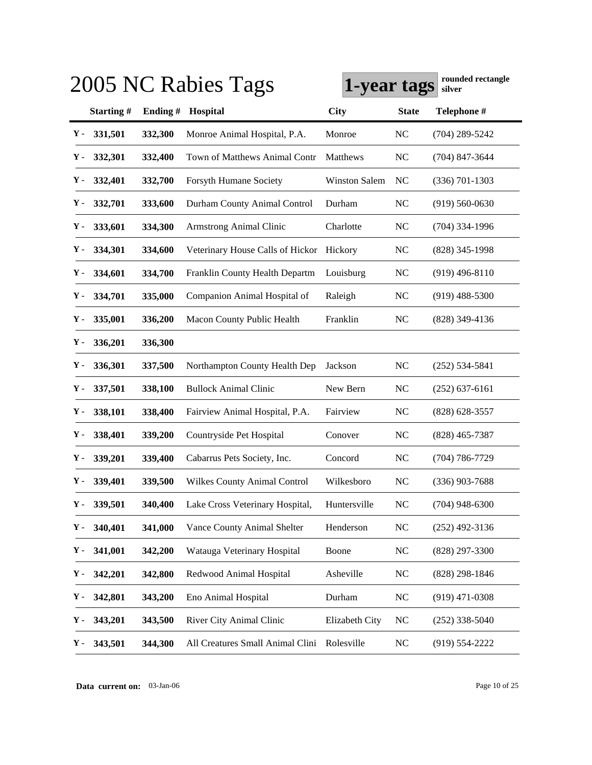|                |           |         | 2005 NC Rabies Tags                 | 1-year tags          |                | rounded rectangle<br>silver |
|----------------|-----------|---------|-------------------------------------|----------------------|----------------|-----------------------------|
|                | Starting# | Ending# | Hospital                            | City                 | <b>State</b>   | Telephone #                 |
| Υ-             | 331,501   | 332,300 | Monroe Animal Hospital, P.A.        | Monroe               | <b>NC</b>      | $(704)$ 289-5242            |
| Υ.             | 332,301   | 332,400 | Town of Matthews Animal Contr       | Matthews             | <b>NC</b>      | $(704)$ 847-3644            |
| Υ.             | 332,401   | 332,700 | Forsyth Humane Society              | <b>Winston Salem</b> | N <sub>C</sub> | $(336) 701 - 1303$          |
| Υ.             | 332,701   | 333,600 | Durham County Animal Control        | Durham               | <b>NC</b>      | $(919) 560 - 0630$          |
| Υ.             | 333,601   | 334,300 | <b>Armstrong Animal Clinic</b>      | Charlotte            | <b>NC</b>      | $(704)$ 334-1996            |
| Υ.             | 334,301   | 334,600 | Veterinary House Calls of Hickor    | Hickory              | <b>NC</b>      | (828) 345-1998              |
| Υ.             | 334,601   | 334,700 | Franklin County Health Departm      | Louisburg            | NC             | $(919)$ 496-8110            |
| Υ.             | 334,701   | 335,000 | Companion Animal Hospital of        | Raleigh              | <b>NC</b>      | $(919)$ 488-5300            |
| Υ.             | 335,001   | 336,200 | Macon County Public Health          | Franklin             | <b>NC</b>      | (828) 349-4136              |
| Υ.             | 336,201   | 336,300 |                                     |                      |                |                             |
| Υ.             | 336,301   | 337,500 | Northampton County Health Dep       | Jackson              | N <sub>C</sub> | $(252)$ 534-5841            |
| Υ.             | 337,501   | 338,100 | <b>Bullock Animal Clinic</b>        | New Bern             | <b>NC</b>      | $(252) 637 - 6161$          |
| Υ-             | 338,101   | 338,400 | Fairview Animal Hospital, P.A.      | Fairview             | N <sub>C</sub> | $(828)$ 628-3557            |
| Υ.             | 338,401   | 339,200 | Countryside Pet Hospital            | Conover              | NC             | $(828)$ 465-7387            |
| Υ.             | 339,201   | 339,400 | Cabarrus Pets Society, Inc.         | Concord              | N <sub>C</sub> | (704) 786-7729              |
| Υ.             | 339,401   | 339,500 | <b>Wilkes County Animal Control</b> | Wilkesboro           | N <sub>C</sub> | $(336)$ 903-7688            |
| $\mathbf{Y}$ - | 339,501   | 340,400 | Lake Cross Veterinary Hospital,     | Huntersville         | NC             | $(704)$ 948-6300            |
| Υ.             | 340,401   | 341,000 | Vance County Animal Shelter         | Henderson            | <b>NC</b>      | $(252)$ 492-3136            |
| Υ.             | 341,001   | 342,200 | Watauga Veterinary Hospital         | Boone                | <b>NC</b>      | (828) 297-3300              |
| Υ.             | 342,201   | 342,800 | Redwood Animal Hospital             | Asheville            | <b>NC</b>      | $(828)$ 298-1846            |
| Υ-             | 342,801   | 343,200 | Eno Animal Hospital                 | Durham               | <b>NC</b>      | $(919)$ 471-0308            |
| Υ-             | 343,201   | 343,500 | River City Animal Clinic            | Elizabeth City       | <b>NC</b>      | $(252)$ 338-5040            |
| Υ.             | 343,501   | 344,300 | All Creatures Small Animal Clini    | Rolesville           | <b>NC</b>      | $(919) 554 - 2222$          |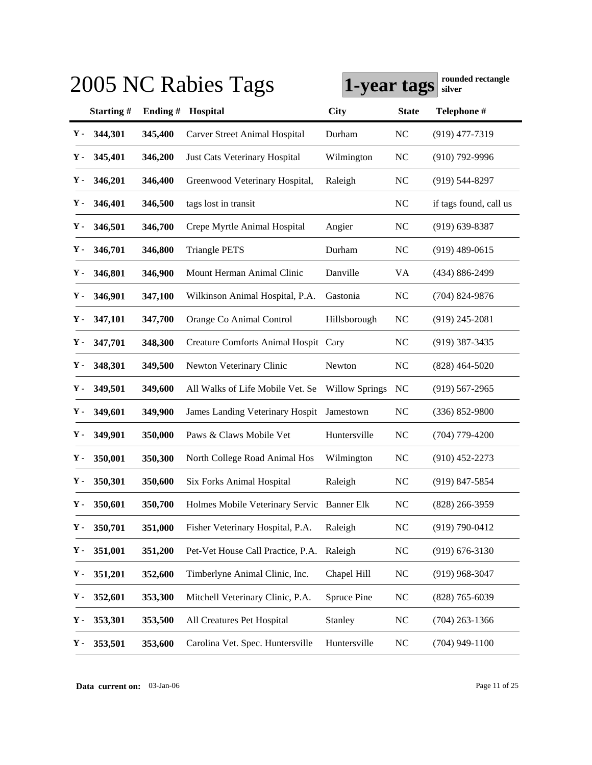|    |               |         | 2005 NC Rabies Tags                        | 1-year tags           |              | rounded rectangle<br>silver |
|----|---------------|---------|--------------------------------------------|-----------------------|--------------|-----------------------------|
|    | Starting#     | Ending# | Hospital                                   | <b>City</b>           | <b>State</b> | Telephone #                 |
| Υ. | 344,301       | 345,400 | <b>Carver Street Animal Hospital</b>       | Durham                | NC           | $(919)$ 477-7319            |
| Υ. | 345,401       | 346,200 | Just Cats Veterinary Hospital              | Wilmington            | <b>NC</b>    | $(910)$ 792-9996            |
| Υ. | 346,201       | 346,400 | Greenwood Veterinary Hospital,             | Raleigh               | <b>NC</b>    | $(919)$ 544-8297            |
| Υ- | 346,401       | 346,500 | tags lost in transit                       |                       | NC           | if tags found, call us      |
| Υ. | 346,501       | 346,700 | Crepe Myrtle Animal Hospital               | Angier                | <b>NC</b>    | $(919)$ 639-8387            |
| Υ. | 346,701       | 346,800 | <b>Triangle PETS</b>                       | Durham                | NC           | $(919)$ 489-0615            |
| γ. | 346,801       | 346,900 | Mount Herman Animal Clinic                 | Danville              | VA           | (434) 886-2499              |
| Υ. | 346,901       | 347,100 | Wilkinson Animal Hospital, P.A.            | Gastonia              | <b>NC</b>    | $(704)$ 824-9876            |
| γ. | 347,101       | 347,700 | Orange Co Animal Control                   | Hillsborough          | NC           | $(919)$ 245-2081            |
| γ. | 347,701       | 348,300 | Creature Comforts Animal Hospit Cary       |                       | NC           | $(919)$ 387-3435            |
| Υ. | 348,301       | 349,500 | Newton Veterinary Clinic                   | Newton                | NC           | $(828)$ 464-5020            |
| γ. | 349,501       | 349,600 | All Walks of Life Mobile Vet. Se           | <b>Willow Springs</b> | NC           | $(919)$ 567-2965            |
| γ. | 349,601       | 349,900 | James Landing Veterinary Hospit            | Jamestown             | NC           | $(336) 852 - 9800$          |
| Υ. | 349,901       | 350,000 | Paws & Claws Mobile Vet                    | Huntersville          | NC           | $(704)$ 779-4200            |
| Υ- | 350,001       | 350,300 | North College Road Animal Hos              | Wilmington            | NC           | $(910)$ 452-2273            |
| Υ- | 350,301       | 350,600 | <b>Six Forks Animal Hospital</b>           | Raleigh               | NC           | $(919)$ 847-5854            |
|    | $Y - 350,601$ | 350,700 | Holmes Mobile Veterinary Servic Banner Elk |                       | NC           | $(828)$ 266-3959            |
| Υ. | 350,701       | 351,000 | Fisher Veterinary Hospital, P.A.           | Raleigh               | NC           | $(919) 790 - 0412$          |
| γ. | 351,001       | 351,200 | Pet-Vet House Call Practice, P.A.          | Raleigh               | NC           | $(919) 676 - 3130$          |
| Υ- | 351,201       | 352,600 | Timberlyne Animal Clinic, Inc.             | Chapel Hill           | NC           | $(919)$ 968-3047            |
| Υ- | 352,601       | 353,300 | Mitchell Veterinary Clinic, P.A.           | Spruce Pine           | NC           | $(828)$ 765-6039            |
| Υ. | 353,301       | 353,500 | All Creatures Pet Hospital                 | Stanley               | NC           | $(704)$ 263-1366            |
| Υ. | 353,501       | 353,600 | Carolina Vet. Spec. Huntersville           | Huntersville          | NC           | $(704)$ 949-1100            |

**Data current on:** 03-Jan-06 Page 11 of 25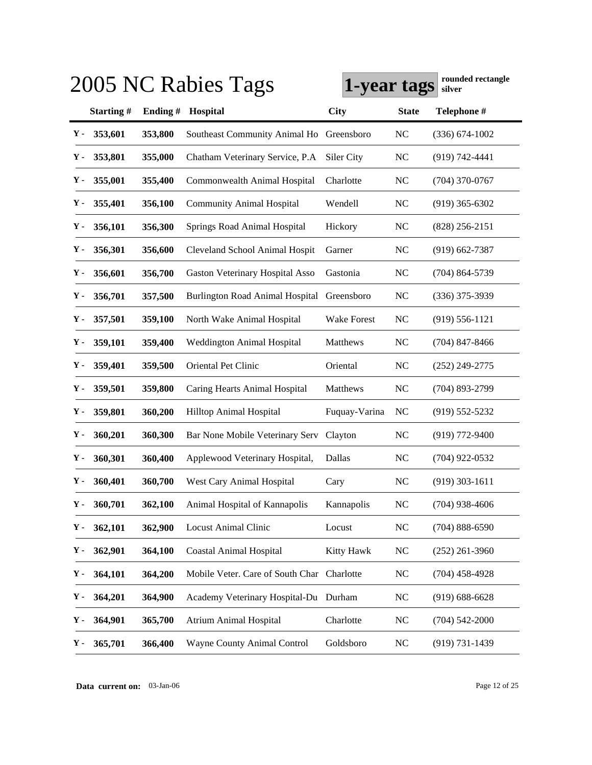|             |           |         | 2005 NC Rabies Tags                        | 1-year tags   |              | rounded rectangle<br>silver |
|-------------|-----------|---------|--------------------------------------------|---------------|--------------|-----------------------------|
|             | Starting# | Ending# | Hospital                                   | <b>City</b>   | <b>State</b> | Telephone #                 |
| Υ.          | 353,601   | 353,800 | Southeast Community Animal Ho              | Greensboro    | <b>NC</b>    | $(336) 674 - 1002$          |
| Υ.          | 353,801   | 355,000 | Chatham Veterinary Service, P.A            | Siler City    | NC           | $(919) 742 - 4441$          |
| Υ.          | 355,001   | 355,400 | Commonwealth Animal Hospital               | Charlotte     | <b>NC</b>    | $(704)$ 370-0767            |
| Υ.          | 355,401   | 356,100 | <b>Community Animal Hospital</b>           | Wendell       | <b>NC</b>    | $(919)$ 365-6302            |
| Υ.          | 356,101   | 356,300 | Springs Road Animal Hospital               | Hickory       | <b>NC</b>    | $(828)$ 256-2151            |
| Υ.          | 356,301   | 356,600 | Cleveland School Animal Hospit             | Garner        | <b>NC</b>    | $(919)$ 662-7387            |
| Υ.          | 356,601   | 356,700 | Gaston Veterinary Hospital Asso            | Gastonia      | <b>NC</b>    | $(704)$ 864-5739            |
| Y -         | 356,701   | 357,500 | Burlington Road Animal Hospital            | Greensboro    | <b>NC</b>    | $(336)$ 375-3939            |
| Y -         | 357,501   | 359,100 | North Wake Animal Hospital                 | Wake Forest   | <b>NC</b>    | $(919) 556 - 1121$          |
| Y -         | 359,101   | 359,400 | <b>Weddington Animal Hospital</b>          | Matthews      | <b>NC</b>    | $(704)$ 847-8466            |
| Y -         | 359,401   | 359,500 | Oriental Pet Clinic                        | Oriental      | <b>NC</b>    | $(252)$ 249-2775            |
| Y -         | 359,501   | 359,800 | Caring Hearts Animal Hospital              | Matthews      | <b>NC</b>    | $(704)$ 893-2799            |
| Y -         | 359,801   | 360,200 | Hilltop Animal Hospital                    | Fuquay-Varina | NC           | $(919) 552 - 5232$          |
| Υ.          | 360,201   | 360,300 | Bar None Mobile Veterinary Serv            | Clayton       | <b>NC</b>    | $(919)$ 772-9400            |
| Y -         | 360,301   | 360,400 | Applewood Veterinary Hospital,             | Dallas        | <b>NC</b>    | $(704)$ 922-0532            |
| ү.          | 360,401   | 360,700 | West Cary Animal Hospital                  | Cary          | <b>NC</b>    | $(919)$ 303-1611            |
| ${\bf Y}$ - | 360,701   | 362,100 | Animal Hospital of Kannapolis              | Kannapolis    | NC           | $(704)$ 938-4606            |
| Υ.          | 362,101   | 362,900 | <b>Locust Animal Clinic</b>                | Locust        | NC           | $(704) 888 - 6590$          |
| Υ-          | 362,901   | 364,100 | <b>Coastal Animal Hospital</b>             | Kitty Hawk    | <b>NC</b>    | $(252)$ 261-3960            |
| Υ-          | 364,101   | 364,200 | Mobile Veter. Care of South Char Charlotte |               | NC           | $(704)$ 458-4928            |
| Υ-          | 364,201   | 364,900 | Academy Veterinary Hospital-Du Durham      |               | NC           | $(919) 688 - 6628$          |
| Υ-          | 364,901   | 365,700 | <b>Atrium Animal Hospital</b>              | Charlotte     | <b>NC</b>    | $(704) 542 - 2000$          |
| Υ-          | 365,701   | 366,400 | Wayne County Animal Control                | Goldsboro     | $\rm NC$     | $(919) 731 - 1439$          |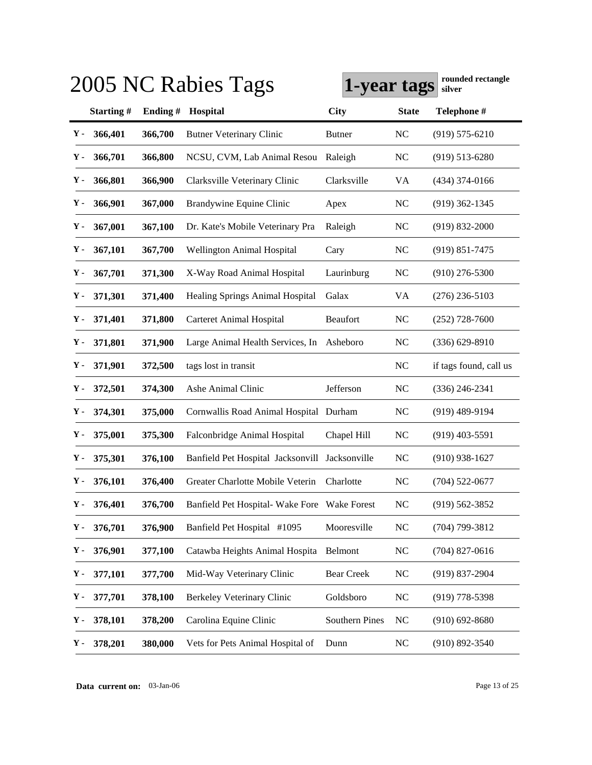|    |               |         | 2005 NC Rabies Tags                            | 1-year tags           |              | rounded rectangle<br>silver |
|----|---------------|---------|------------------------------------------------|-----------------------|--------------|-----------------------------|
|    | Starting#     | Ending# | Hospital                                       | <b>City</b>           | <b>State</b> | Telephone #                 |
| Υ- | 366,401       | 366,700 | <b>Butner Veterinary Clinic</b>                | <b>Butner</b>         | NC           | $(919) 575 - 6210$          |
| Υ. | 366,701       | 366,800 | NCSU, CVM, Lab Animal Resou                    | Raleigh               | NC           | $(919)$ 513-6280            |
| Υ. | 366,801       | 366,900 | Clarksville Veterinary Clinic                  | Clarksville           | VA           | $(434)$ 374-0166            |
| γ. | 366,901       | 367,000 | Brandywine Equine Clinic                       | Apex                  | NC           | $(919)$ 362-1345            |
| Υ. | 367,001       | 367,100 | Dr. Kate's Mobile Veterinary Pra               | Raleigh               | <b>NC</b>    | $(919) 832 - 2000$          |
| Υ. | 367,101       | 367,700 | <b>Wellington Animal Hospital</b>              | Cary                  | NC           | $(919) 851 - 7475$          |
| γ. | 367,701       | 371,300 | X-Way Road Animal Hospital                     | Laurinburg            | NC           | $(910)$ 276-5300            |
| Υ. | 371,301       | 371,400 | <b>Healing Springs Animal Hospital</b>         | Galax                 | VA           | $(276)$ 236-5103            |
| γ. | 371,401       | 371,800 | Carteret Animal Hospital                       | <b>Beaufort</b>       | NC           | $(252)$ 728-7600            |
| γ. | 371,801       | 371,900 | Large Animal Health Services, In               | Asheboro              | <b>NC</b>    | $(336) 629 - 8910$          |
| Υ. | 371,901       | 372,500 | tags lost in transit                           |                       | NC           | if tags found, call us      |
| Υ. | 372,501       | 374,300 | Ashe Animal Clinic                             | Jefferson             | NC           | $(336)$ 246-2341            |
| Υ. | 374,301       | 375,000 | Cornwallis Road Animal Hospital Durham         |                       | NC           | $(919)$ 489-9194            |
| Υ. | 375,001       | 375,300 | Falconbridge Animal Hospital                   | Chapel Hill           | NC           | $(919)$ 403-5591            |
| Υ- | 375,301       | 376,100 | Banfield Pet Hospital Jacksonvill Jacksonville |                       | NC           | $(910)$ 938-1627            |
| Υ- | 376,101       | 376,400 | Greater Charlotte Mobile Veterin               | Charlotte             | NC           | $(704)$ 522-0677            |
|    | $Y - 376,401$ | 376,700 | Banfield Pet Hospital- Wake Fore Wake Forest   |                       | NC           | $(919) 562 - 3852$          |
| Υ. | 376,701       | 376,900 | Banfield Pet Hospital #1095                    | Mooresville           | NC           | $(704)$ 799-3812            |
| γ. | 376,901       | 377,100 | Catawba Heights Animal Hospita                 | Belmont               | NC           | $(704)$ 827-0616            |
| Υ. | 377,101       | 377,700 | Mid-Way Veterinary Clinic                      | <b>Bear Creek</b>     | <b>NC</b>    | $(919) 837 - 2904$          |
| Υ. | 377,701       | 378,100 | Berkeley Veterinary Clinic                     | Goldsboro             | NC           | $(919)$ 778-5398            |
| Υ. | 378,101       | 378,200 | Carolina Equine Clinic                         | <b>Southern Pines</b> | NC           | $(910) 692 - 8680$          |
| Υ- | 378,201       | 380,000 | Vets for Pets Animal Hospital of               | Dunn                  | NC           | $(910) 892 - 3540$          |

**Data current on:** 03-Jan-06 Page 13 of 25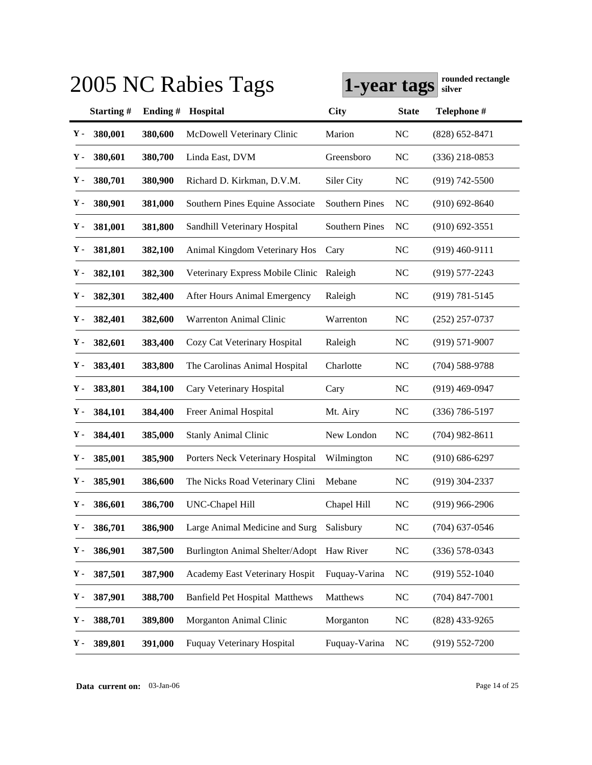|               |               |         | 2005 NC Rabies Tags                       | 1-year tags           |                | rounded rectangle<br>silver |
|---------------|---------------|---------|-------------------------------------------|-----------------------|----------------|-----------------------------|
|               | Starting#     | Ending# | Hospital                                  | <b>City</b>           | <b>State</b>   | Telephone #                 |
| Υ-            | 380,001       | 380,600 | McDowell Veterinary Clinic                | Marion                | N <sub>C</sub> | $(828) 652 - 8471$          |
| Υ.            | 380,601       | 380,700 | Linda East, DVM                           | Greensboro            | <b>NC</b>      | $(336)$ 218-0853            |
| Υ.            | 380,701       | 380,900 | Richard D. Kirkman, D.V.M.                | Siler City            | <b>NC</b>      | $(919) 742 - 5500$          |
| Υ.            | 380,901       | 381,000 | Southern Pines Equine Associate           | <b>Southern Pines</b> | N <sub>C</sub> | $(910)$ 692-8640            |
| Υ.            | 381,001       | 381,800 | Sandhill Veterinary Hospital              | <b>Southern Pines</b> | NC             | $(910)$ 692-3551            |
| Υ.            | 381,801       | 382,100 | Animal Kingdom Veterinary Hos             | Cary                  | <b>NC</b>      | $(919)$ 460-9111            |
| Υ.            | 382,101       | 382,300 | Veterinary Express Mobile Clinic          | Raleigh               | <b>NC</b>      | $(919)$ 577-2243            |
| Υ.            | 382,301       | 382,400 | After Hours Animal Emergency              | Raleigh               | NC             | $(919) 781 - 5145$          |
| Υ.            | 382,401       | 382,600 | Warrenton Animal Clinic                   | Warrenton             | NC             | $(252)$ 257-0737            |
| Υ.            | 382,601       | 383,400 | Cozy Cat Veterinary Hospital              | Raleigh               | NC             | $(919)$ 571-9007            |
| Υ.            | 383,401       | 383,800 | The Carolinas Animal Hospital             | Charlotte             | NC             | $(704) 588 - 9788$          |
| Υ.            | 383,801       | 384,100 | Cary Veterinary Hospital                  | Cary                  | NC             | $(919)$ 469-0947            |
| Υ.            | 384,101       | 384,400 | Freer Animal Hospital                     | Mt. Airy              | N <sub>C</sub> | (336) 786-5197              |
| Υ.            | 384,401       | 385,000 | <b>Stanly Animal Clinic</b>               | New London            | NC             | $(704)$ 982-8611            |
| Υ.            | 385,001       | 385,900 | Porters Neck Veterinary Hospital          | Wilmington            | N <sub>C</sub> | $(910) 686 - 6297$          |
| Υ.            | 385,901       | 386,600 | The Nicks Road Veterinary Clini           | Mebane                | NC             | $(919)$ 304-2337            |
|               | $Y - 386,601$ | 386,700 | UNC-Chapel Hill                           | Chapel Hill           | NC             | $(919)$ 966-2906            |
| $\mathbf Y$ - | 386,701       | 386,900 | Large Animal Medicine and Surg            | Salisbury             | <b>NC</b>      | $(704)$ 637-0546            |
| $\mathbf Y$ - | 386,901       | 387,500 | Burlington Animal Shelter/Adopt Haw River |                       | <b>NC</b>      | $(336) 578 - 0343$          |
| Υ-            | 387,501       | 387,900 | Academy East Veterinary Hospit            | Fuquay-Varina         | <b>NC</b>      | $(919) 552 - 1040$          |
| Υ.            | 387,901       | 388,700 | <b>Banfield Pet Hospital Matthews</b>     | Matthews              | <b>NC</b>      | $(704)$ 847-7001            |
| Υ.            | 388,701       | 389,800 | Morganton Animal Clinic                   | Morganton             | <b>NC</b>      | $(828)$ 433-9265            |
| Υ-            | 389,801       | 391,000 | Fuquay Veterinary Hospital                | Fuquay-Varina         | <b>NC</b>      | $(919) 552 - 7200$          |

**Data current on:** 03-Jan-06 Page 14 of 25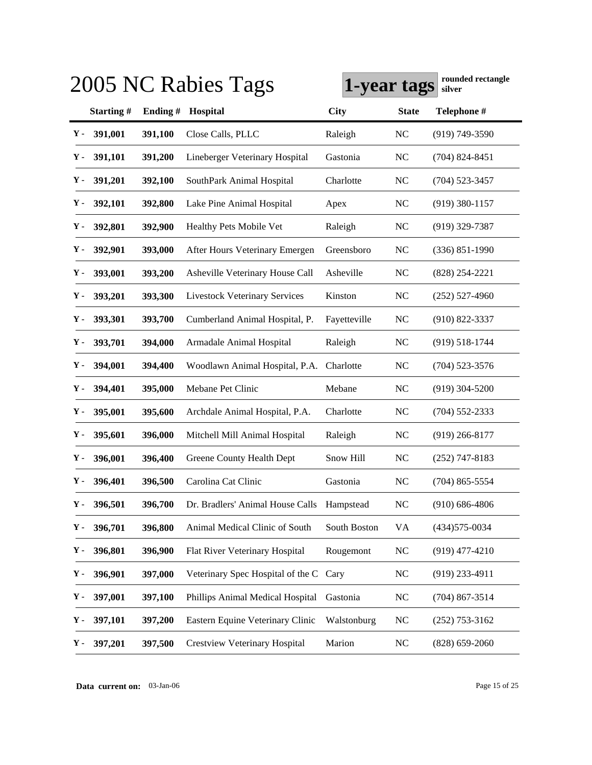|       |           |         | 2005 NC Rabies Tags                        | 1-year tags  |                | rounded rectangle<br>silver |
|-------|-----------|---------|--------------------------------------------|--------------|----------------|-----------------------------|
|       | Starting# | Ending# | Hospital                                   | <b>City</b>  | <b>State</b>   | Telephone #                 |
| Υ.    | 391,001   | 391,100 | Close Calls, PLLC                          | Raleigh      | <b>NC</b>      | $(919) 749 - 3590$          |
| Υ.    | 391,101   | 391,200 | Lineberger Veterinary Hospital             | Gastonia     | N <sub>C</sub> | $(704)$ 824-8451            |
| Υ.    | 391,201   | 392,100 | SouthPark Animal Hospital                  | Charlotte    | N <sub>C</sub> | $(704)$ 523-3457            |
| Υ.    | 392,101   | 392,800 | Lake Pine Animal Hospital                  | Apex         | <b>NC</b>      | $(919)$ 380-1157            |
| Υ.    | 392,801   | 392,900 | Healthy Pets Mobile Vet                    | Raleigh      | <b>NC</b>      | $(919)$ 329-7387            |
| Υ.    | 392,901   | 393,000 | After Hours Veterinary Emergen             | Greensboro   | NC             | $(336) 851 - 1990$          |
| Υ.    | 393,001   | 393,200 | Asheville Veterinary House Call            | Asheville    | N <sub>C</sub> | $(828)$ 254-2221            |
| Y -   | 393,201   | 393,300 | <b>Livestock Veterinary Services</b>       | Kinston      | NC             | $(252)$ 527-4960            |
| Υ-    | 393,301   | 393,700 | Cumberland Animal Hospital, P.             | Fayetteville | NC             | $(910) 822 - 3337$          |
| Υ-    | 393,701   | 394,000 | Armadale Animal Hospital                   | Raleigh      | N <sub>C</sub> | $(919) 518 - 1744$          |
| Y -   | 394,001   | 394,400 | Woodlawn Animal Hospital, P.A.             | Charlotte    | N <sub>C</sub> | (704) 523-3576              |
| Υ-    | 394,401   | 395,000 | Mebane Pet Clinic                          | Mebane       | N <sub>C</sub> | $(919)$ 304-5200            |
| Υ-    | 395,001   | 395,600 | Archdale Animal Hospital, P.A.             | Charlotte    | NC             | $(704)$ 552-2333            |
| Y -   | 395,601   | 396,000 | Mitchell Mill Animal Hospital              | Raleigh      | NC             | $(919)$ 266-8177            |
| Υ-    | 396,001   | 396,400 | Greene County Health Dept                  | Snow Hill    | N <sub>C</sub> | $(252)$ 747-8183            |
| Υ-    | 396,401   | 396,500 | Carolina Cat Clinic                        | Gastonia     | N <sub>C</sub> | $(704)$ 865-5554            |
| $Y -$ | 396,501   | 396,700 | Dr. Bradlers' Animal House Calls Hampstead |              | NC             | $(910)$ 686-4806            |
| Υ.    | 396,701   | 396,800 | Animal Medical Clinic of South             | South Boston | VA             | $(434)575 - 0034$           |
| Υ.    | 396,801   | 396,900 | Flat River Veterinary Hospital             | Rougemont    | N <sub>C</sub> | $(919)$ 477-4210            |
| Υ-    | 396,901   | 397,000 | Veterinary Spec Hospital of the C          | Cary         | <b>NC</b>      | $(919)$ 233-4911            |
| Υ-    | 397,001   | 397,100 | Phillips Animal Medical Hospital           | Gastonia     | <b>NC</b>      | $(704)$ 867-3514            |
| Υ-    | 397,101   | 397,200 | Eastern Equine Veterinary Clinic           | Walstonburg  | <b>NC</b>      | $(252)$ 753-3162            |
| Υ-    | 397,201   | 397,500 | <b>Crestview Veterinary Hospital</b>       | Marion       | <b>NC</b>      | $(828) 659 - 2060$          |

**Data current on:** 03-Jan-06 Page 15 of 25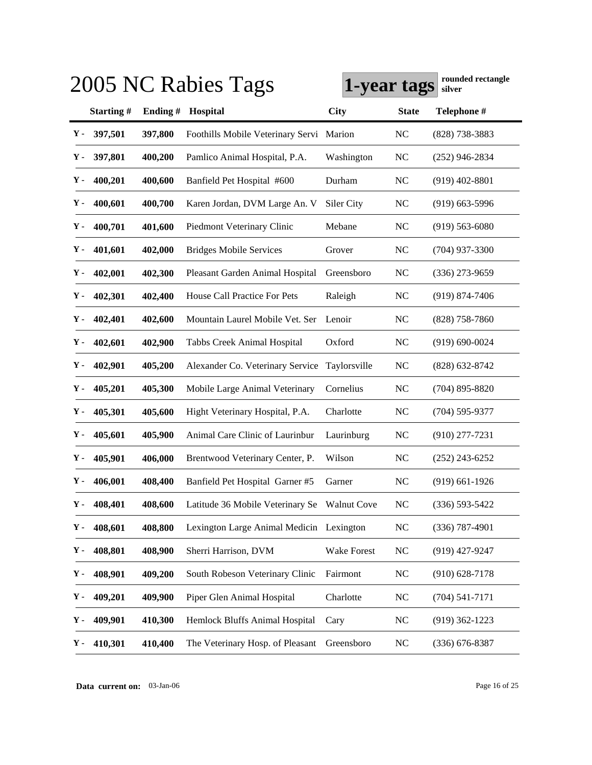|               |                  |         | 2005 NC Rabies Tags                          | 1-year tags  |                | rounded rectangle<br>silver |
|---------------|------------------|---------|----------------------------------------------|--------------|----------------|-----------------------------|
|               | <b>Starting#</b> | Ending# | Hospital                                     | <b>City</b>  | <b>State</b>   | Telephone #                 |
| Υ-            | 397,501          | 397,800 | Foothills Mobile Veterinary Servi Marion     |              | <b>NC</b>      | $(828)$ 738-3883            |
| Υ.            | 397,801          | 400,200 | Pamlico Animal Hospital, P.A.                | Washington   | <b>NC</b>      | $(252)$ 946-2834            |
| Υ.            | 400,201          | 400,600 | Banfield Pet Hospital #600                   | Durham       | <b>NC</b>      | $(919)$ 402-8801            |
| Υ-            | 400,601          | 400,700 | Karen Jordan, DVM Large An. V                | Siler City   | <b>NC</b>      | $(919)$ 663-5996            |
| Υ-            | 400,701          | 401,600 | Piedmont Veterinary Clinic                   | Mebane       | <b>NC</b>      | $(919) 563 - 6080$          |
| Υ-            | 401,601          | 402,000 | <b>Bridges Mobile Services</b>               | Grover       | <b>NC</b>      | $(704)$ 937-3300            |
| Υ-            | 402,001          | 402,300 | Pleasant Garden Animal Hospital              | Greensboro   | <b>NC</b>      | $(336)$ 273-9659            |
| Υ.            | 402,301          | 402,400 | House Call Practice For Pets                 | Raleigh      | <b>NC</b>      | $(919) 874 - 7406$          |
| Υ.            | 402,401          | 402,600 | Mountain Laurel Mobile Vet. Ser              | Lenoir       | <b>NC</b>      | $(828)$ 758-7860            |
| Υ.            | 402,601          | 402,900 | Tabbs Creek Animal Hospital                  | Oxford       | NC             | $(919) 690 - 0024$          |
| Υ-            | 402,901          | 405,200 | Alexander Co. Veterinary Service             | Taylorsville | NC             | $(828)$ 632-8742            |
| Υ-            | 405,201          | 405,300 | Mobile Large Animal Veterinary               | Cornelius    | <b>NC</b>      | $(704)$ 895-8820            |
| Υ-            | 405,301          | 405,600 | Hight Veterinary Hospital, P.A.              | Charlotte    | <b>NC</b>      | $(704)$ 595-9377            |
| Υ.            | 405,601          | 405,900 | Animal Care Clinic of Laurinbur              | Laurinburg   | <b>NC</b>      | $(910)$ 277-7231            |
| Υ-            | 405,901          | 406,000 | Brentwood Veterinary Center, P.              | Wilson       | <b>NC</b>      | $(252)$ 243-6252            |
| Υ-            | 406,001          | 408,400 | Banfield Pet Hospital Garner #5              | Garner       | <b>NC</b>      | $(919)$ 661-1926            |
| Y -           | 408,401          | 408,600 | Latitude 36 Mobile Veterinary Se Walnut Cove |              | <b>NC</b>      | $(336)$ 593-5422            |
| Υ-            | 408,601          | 408,800 | Lexington Large Animal Medicin Lexington     |              | NC             | $(336)$ 787-4901            |
| Υ-            | 408,801          | 408,900 | Sherri Harrison, DVM                         | Wake Forest  | <b>NC</b>      | $(919)$ 427-9247            |
| γ.            | 408,901          | 409,200 | South Robeson Veterinary Clinic              | Fairmont     | N <sub>C</sub> | $(910) 628 - 7178$          |
| γ.            | 409,201          | 409,900 | Piper Glen Animal Hospital                   | Charlotte    | N <sub>C</sub> | $(704) 541 - 7171$          |
| Υ.            | 409,901          | 410,300 | Hemlock Bluffs Animal Hospital               | Cary         | <b>NC</b>      | $(919)$ 362-1223            |
| $\mathbf Y$ - | 410,301          | 410,400 | The Veterinary Hosp. of Pleasant             | Greensboro   | <b>NC</b>      | $(336) 676 - 8387$          |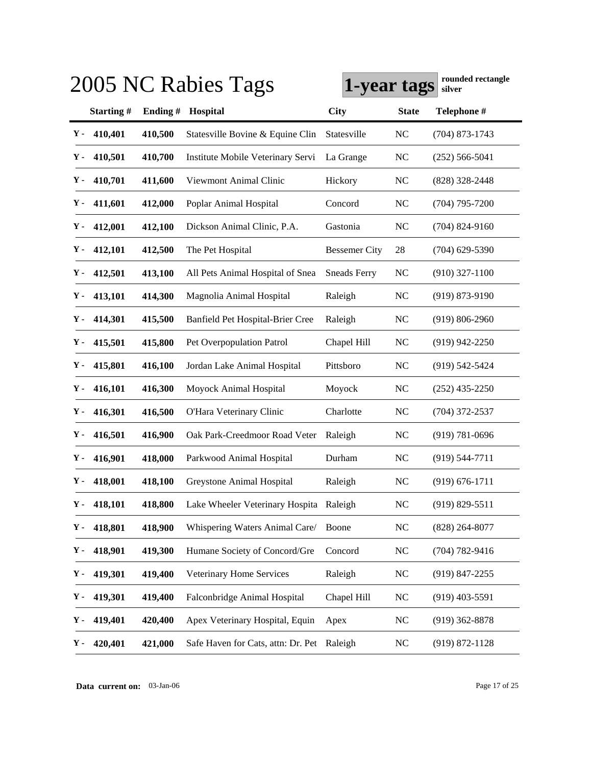|             | rounded rectangle<br>2005 NC Rabies Tags<br>1-year tags<br>silver |         |                                         |                      |                |                    |  |  |  |
|-------------|-------------------------------------------------------------------|---------|-----------------------------------------|----------------------|----------------|--------------------|--|--|--|
|             | Starting#                                                         | Ending# | Hospital                                | <b>City</b>          | <b>State</b>   | Telephone #        |  |  |  |
| Υ-          | 410,401                                                           | 410,500 | Statesville Bovine & Equine Clin        | Statesville          | <b>NC</b>      | $(704)$ 873-1743   |  |  |  |
| Υ.          | 410,501                                                           | 410,700 | Institute Mobile Veterinary Servi       | La Grange            | <b>NC</b>      | $(252) 566 - 5041$ |  |  |  |
| Υ.          | 410,701                                                           | 411,600 | Viewmont Animal Clinic                  | Hickory              | <b>NC</b>      | $(828)$ 328-2448   |  |  |  |
| Υ.          | 411,601                                                           | 412,000 | Poplar Animal Hospital                  | Concord              | <b>NC</b>      | $(704)$ 795-7200   |  |  |  |
| Υ.          | 412,001                                                           | 412,100 | Dickson Animal Clinic, P.A.             | Gastonia             | <b>NC</b>      | $(704)$ 824-9160   |  |  |  |
| Υ.          | 412,101                                                           | 412,500 | The Pet Hospital                        | <b>Bessemer City</b> | 28             | $(704)$ 629-5390   |  |  |  |
| Υ.          | 412,501                                                           | 413,100 | All Pets Animal Hospital of Snea        | <b>Sneads Ferry</b>  | <b>NC</b>      | $(910)$ 327-1100   |  |  |  |
| Υ-          | 413,101                                                           | 414,300 | Magnolia Animal Hospital                | Raleigh              | <b>NC</b>      | $(919) 873 - 9190$ |  |  |  |
| Υ.          | 414,301                                                           | 415,500 | Banfield Pet Hospital-Brier Cree        | Raleigh              | <b>NC</b>      | $(919) 806 - 2960$ |  |  |  |
| Υ-          | 415,501                                                           | 415,800 | Pet Overpopulation Patrol               | Chapel Hill          | <b>NC</b>      | $(919)$ 942-2250   |  |  |  |
| Υ.          | 415,801                                                           | 416,100 | Jordan Lake Animal Hospital             | Pittsboro            | <b>NC</b>      | (919) 542-5424     |  |  |  |
| Υ-          | 416,101                                                           | 416,300 | Moyock Animal Hospital                  | Moyock               | <b>NC</b>      | $(252)$ 435-2250   |  |  |  |
| Υ-          | 416,301                                                           | 416,500 | O'Hara Veterinary Clinic                | Charlotte            | <b>NC</b>      | $(704)$ 372-2537   |  |  |  |
| Υ-          | 416,501                                                           | 416,900 | Oak Park-Creedmoor Road Veter           | Raleigh              | <b>NC</b>      | $(919) 781 - 0696$ |  |  |  |
| Υ-          | 416,901                                                           | 418,000 | Parkwood Animal Hospital                | Durham               | N <sub>C</sub> | $(919) 544 - 7711$ |  |  |  |
| Υ-          | 418,001                                                           | 418,100 | Greystone Animal Hospital               | Raleigh              | <b>NC</b>      | $(919) 676 - 1711$ |  |  |  |
| ${\bf Y}$ - | 418,101                                                           | 418,800 | Lake Wheeler Veterinary Hospita Raleigh |                      | NC             | $(919) 829 - 5511$ |  |  |  |
| Υ.          | 418,801                                                           | 418,900 | Whispering Waters Animal Care/          | Boone                | <b>NC</b>      | $(828) 264 - 8077$ |  |  |  |
| Υ.          | 418,901                                                           | 419,300 | Humane Society of Concord/Gre           | Concord              | <b>NC</b>      | $(704) 782 - 9416$ |  |  |  |
| Υ-          | 419,301                                                           | 419,400 | Veterinary Home Services                | Raleigh              | <b>NC</b>      | $(919)$ 847-2255   |  |  |  |
| Υ-          | 419,301                                                           | 419,400 | Falconbridge Animal Hospital            | Chapel Hill          | <b>NC</b>      | $(919)$ 403-5591   |  |  |  |
| Υ.          | 419,401                                                           | 420,400 | Apex Veterinary Hospital, Equin         | Apex                 | <b>NC</b>      | $(919)$ 362-8878   |  |  |  |
| Υ.          | 420,401                                                           | 421,000 | Safe Haven for Cats, attn: Dr. Pet      | Raleigh              | NC             | $(919) 872 - 1128$ |  |  |  |

**Data current on:** 03-Jan-06 Page 17 of 25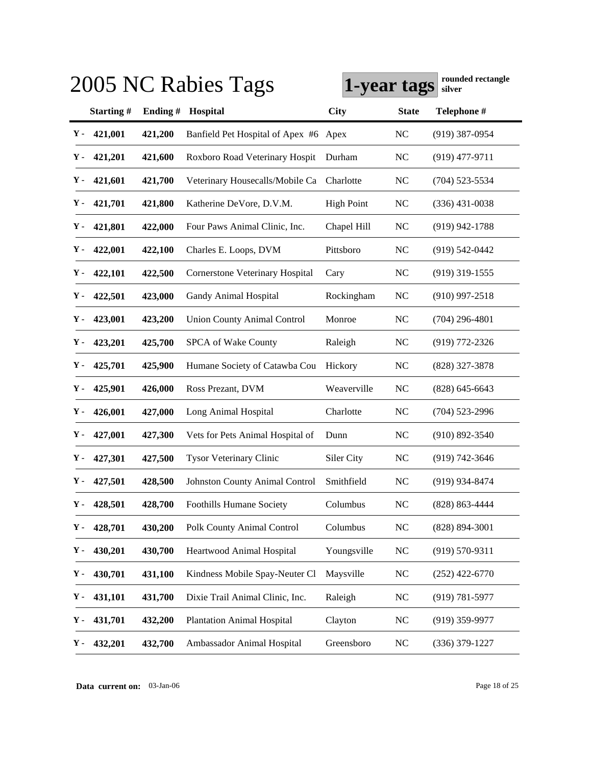|               |                  |         | 2005 NC Rabies Tags                    | 1-year tags       |                | rounded rectangle<br>silver |
|---------------|------------------|---------|----------------------------------------|-------------------|----------------|-----------------------------|
|               | <b>Starting#</b> | Ending# | Hospital                               | <b>City</b>       | <b>State</b>   | Telephone #                 |
| Υ-            | 421,001          | 421,200 | Banfield Pet Hospital of Apex #6 Apex  |                   | <b>NC</b>      | $(919)$ 387-0954            |
| Υ.            | 421,201          | 421,600 | Roxboro Road Veterinary Hospit         | Durham            | <b>NC</b>      | $(919)$ 477-9711            |
| Υ.            | 421,601          | 421,700 | Veterinary Housecalls/Mobile Ca        | Charlotte         | <b>NC</b>      | $(704)$ 523-5534            |
| Υ.            | 421,701          | 421,800 | Katherine DeVore, D.V.M.               | <b>High Point</b> | <b>NC</b>      | $(336)$ 431-0038            |
| Υ-            | 421,801          | 422,000 | Four Paws Animal Clinic, Inc.          | Chapel Hill       | <b>NC</b>      | $(919)$ 942-1788            |
| Υ-            | 422,001          | 422,100 | Charles E. Loops, DVM                  | Pittsboro         | <b>NC</b>      | $(919)$ 542-0442            |
| Υ-            | 422,101          | 422,500 | <b>Cornerstone Veterinary Hospital</b> | Cary              | <b>NC</b>      | $(919)$ 319-1555            |
| Υ.            | 422,501          | 423,000 | <b>Gandy Animal Hospital</b>           | Rockingham        | <b>NC</b>      | $(910)$ 997-2518            |
| Υ.            | 423,001          | 423,200 | <b>Union County Animal Control</b>     | Monroe            | <b>NC</b>      | $(704)$ 296-4801            |
| Υ.            | 423,201          | 425,700 | SPCA of Wake County                    | Raleigh           | NC             | $(919)$ 772-2326            |
| Υ.            | 425,701          | 425,900 | Humane Society of Catawba Cou          | Hickory           | NC             | $(828)$ 327-3878            |
| Υ-            | 425,901          | 426,000 | Ross Prezant, DVM                      | Weaverville       | <b>NC</b>      | $(828)$ 645-6643            |
| Υ-            | 426,001          | 427,000 | Long Animal Hospital                   | Charlotte         | <b>NC</b>      | $(704)$ 523-2996            |
| Υ.            | 427,001          | 427,300 | Vets for Pets Animal Hospital of       | Dunn              | <b>NC</b>      | $(910) 892 - 3540$          |
| Υ-            | 427,301          | 427,500 | <b>Tysor Veterinary Clinic</b>         | Siler City        | <b>NC</b>      | $(919) 742 - 3646$          |
| Υ-            | 427,501          | 428,500 | <b>Johnston County Animal Control</b>  | Smithfield        | N <sub>C</sub> | $(919)$ 934-8474            |
| ${\bf Y}$ -   | 428,501          | 428,700 | Foothills Humane Society               | Columbus          | N <sub>C</sub> | $(828) 863 - 4444$          |
| Υ-            | 428,701          | 430,200 | Polk County Animal Control             | Columbus          | NC             | $(828) 894 - 3001$          |
| Υ-            | 430,201          | 430,700 | Heartwood Animal Hospital              | Youngsville       | NC             | $(919) 570 - 9311$          |
| Υ-            | 430,701          | 431,100 | Kindness Mobile Spay-Neuter Cl         | Maysville         | $\rm NC$       | $(252)$ 422-6770            |
| Υ-            | 431,101          | 431,700 | Dixie Trail Animal Clinic, Inc.        | Raleigh           | <b>NC</b>      | $(919) 781 - 5977$          |
| Υ.            | 431,701          | 432,200 | <b>Plantation Animal Hospital</b>      | Clayton           | <b>NC</b>      | $(919)$ 359-9977            |
| $\mathbf Y$ - | 432,201          | 432,700 | Ambassador Animal Hospital             | Greensboro        | NC             | $(336)$ 379-1227            |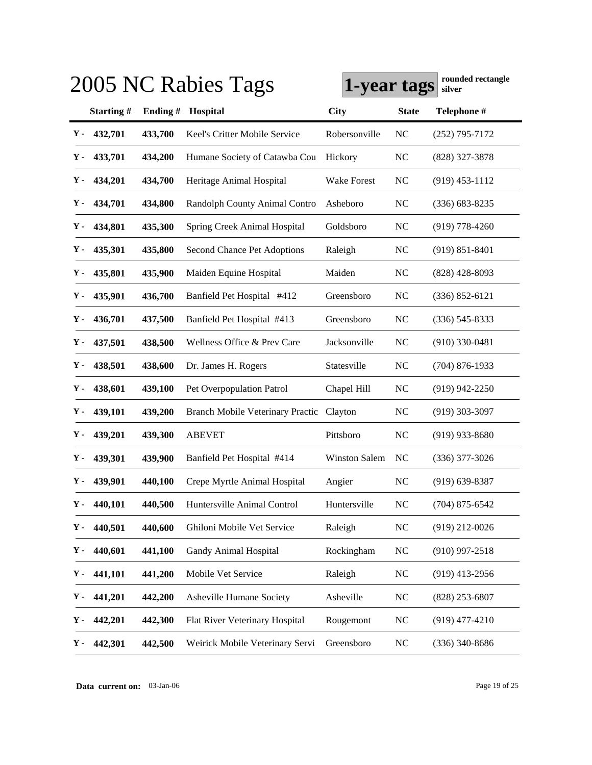|             |           |         | 2005 NC Rabies Tags                     | 1-year tags          |                | rounded rectangle<br>silver |
|-------------|-----------|---------|-----------------------------------------|----------------------|----------------|-----------------------------|
|             | Starting# | Ending# | Hospital                                | <b>City</b>          | <b>State</b>   | Telephone #                 |
| Υ.          | 432,701   | 433,700 | Keel's Critter Mobile Service           | Robersonville        | N <sub>C</sub> | $(252)$ 795-7172            |
| Υ.          | 433,701   | 434,200 | Humane Society of Catawba Cou           | Hickory              | <b>NC</b>      | (828) 327-3878              |
| Υ.          | 434,201   | 434,700 | Heritage Animal Hospital                | Wake Forest          | N <sub>C</sub> | $(919)$ 453-1112            |
| Υ.          | 434,701   | 434,800 | Randolph County Animal Contro           | Asheboro             | <b>NC</b>      | $(336) 683 - 8235$          |
| Υ.          | 434,801   | 435,300 | Spring Creek Animal Hospital            | Goldsboro            | N <sub>C</sub> | $(919)$ 778-4260            |
| Υ.          | 435,301   | 435,800 | Second Chance Pet Adoptions             | Raleigh              | N <sub>C</sub> | $(919) 851 - 8401$          |
| Υ.          | 435,801   | 435,900 | Maiden Equine Hospital                  | Maiden               | N <sub>C</sub> | $(828)$ 428-8093            |
| Υ-          | 435,901   | 436,700 | Banfield Pet Hospital #412              | Greensboro           | N <sub>C</sub> | $(336) 852 - 6121$          |
| Υ.          | 436,701   | 437,500 | Banfield Pet Hospital #413              | Greensboro           | N <sub>C</sub> | $(336) 545 - 8333$          |
| Υ.          | 437,501   | 438,500 | Wellness Office & Prev Care             | Jacksonville         | N <sub>C</sub> | $(910)$ 330-0481            |
| Υ-          | 438,501   | 438,600 | Dr. James H. Rogers                     | Statesville          | N <sub>C</sub> | $(704)$ 876-1933            |
| Υ.          | 438,601   | 439,100 | Pet Overpopulation Patrol               | Chapel Hill          | NC             | $(919)$ 942-2250            |
| Υ-          | 439,101   | 439,200 | <b>Branch Mobile Veterinary Practic</b> | Clayton              | N <sub>C</sub> | $(919)$ 303-3097            |
| Υ-          | 439,201   | 439,300 | <b>ABEVET</b>                           | Pittsboro            | NC             | $(919)$ 933-8680            |
| Υ.          | 439,301   | 439,900 | Banfield Pet Hospital #414              | <b>Winston Salem</b> | N <sub>C</sub> | $(336)$ 377-3026            |
| ү.          | 439,901   | 440,100 | Crepe Myrtle Animal Hospital            | Angier               | N <sub>C</sub> | $(919) 639 - 8387$          |
| ${\bf Y}$ - | 440,101   | 440,500 | Huntersville Animal Control             | Huntersville         | NC             | $(704)$ 875-6542            |
| Υ.          | 440,501   | 440,600 | Ghiloni Mobile Vet Service              | Raleigh              | <b>NC</b>      | $(919)$ 212-0026            |
| Υ.          | 440,601   | 441,100 | Gandy Animal Hospital                   | Rockingham           | <b>NC</b>      | $(910)$ 997-2518            |
| Υ.          | 441,101   | 441,200 | Mobile Vet Service                      | Raleigh              | <b>NC</b>      | $(919)$ 413-2956            |
| Υ-          | 441,201   | 442,200 | Asheville Humane Society                | Asheville            | <b>NC</b>      | $(828)$ 253-6807            |
| Υ.          | 442,201   | 442,300 | Flat River Veterinary Hospital          | Rougemont            | <b>NC</b>      | $(919)$ 477-4210            |
| Υ.          | 442,301   | 442,500 | Weirick Mobile Veterinary Servi         | Greensboro           | N <sub>C</sub> | (336) 340-8686              |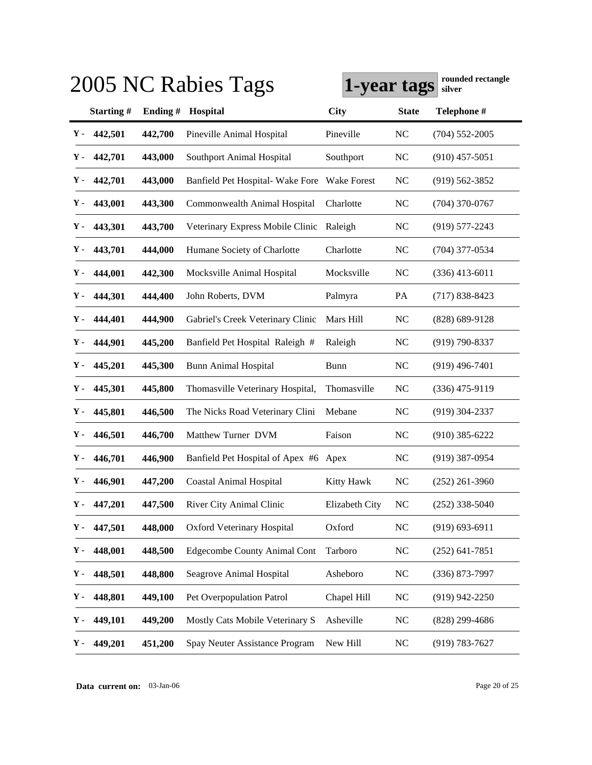|       |           |         | 2005 NC Rabies Tags                   | 1-year tags    |              | rounded rectangle<br>silver |
|-------|-----------|---------|---------------------------------------|----------------|--------------|-----------------------------|
|       | Starting# | Ending# | Hospital                              | <b>City</b>    | <b>State</b> | Telephone #                 |
| Υ-    | 442,501   | 442,700 | Pineville Animal Hospital             | Pineville      | NC           | $(704)$ 552-2005            |
| Υ-    | 442,701   | 443,000 | Southport Animal Hospital             | Southport      | <b>NC</b>    | $(910)$ 457-5051            |
| Υ.    | 442,701   | 443,000 | Banfield Pet Hospital- Wake Fore      | Wake Forest    | <b>NC</b>    | $(919)$ 562-3852            |
| Υ-    | 443,001   | 443,300 | Commonwealth Animal Hospital          | Charlotte      | NC           | $(704)$ 370-0767            |
| Υ-    | 443,301   | 443,700 | Veterinary Express Mobile Clinic      | Raleigh        | <b>NC</b>    | $(919)$ 577-2243            |
| Υ-    | 443,701   | 444,000 | Humane Society of Charlotte           | Charlotte      | <b>NC</b>    | $(704)$ 377-0534            |
| Υ-    | 444,001   | 442,300 | Mocksville Animal Hospital            | Mocksville     | NC           | $(336)$ 413-6011            |
| Υ-    | 444,301   | 444,400 | John Roberts, DVM                     | Palmyra        | PA           | $(717) 838 - 8423$          |
| Υ-    | 444,401   | 444,900 | Gabriel's Creek Veterinary Clinic     | Mars Hill      | $\rm NC$     | $(828)$ 689-9128            |
| Υ-    | 444,901   | 445,200 | Banfield Pet Hospital Raleigh #       | Raleigh        | NC           | $(919) 790 - 8337$          |
| Υ.    | 445,201   | 445,300 | <b>Bunn Animal Hospital</b>           | <b>Bunn</b>    | NC           | $(919)$ 496-7401            |
| Υ-    | 445,301   | 445,800 | Thomasville Veterinary Hospital,      | Thomasville    | NC           | $(336)$ 475-9119            |
| Υ.    | 445,801   | 446,500 | The Nicks Road Veterinary Clini       | Mebane         | NC           | $(919)$ 304-2337            |
| Υ.    | 446,501   | 446,700 | Matthew Turner DVM                    | Faison         | NC           | $(910)$ 385-6222            |
| Υ-    | 446,701   | 446,900 | Banfield Pet Hospital of Apex #6 Apex |                | NC           | $(919)$ 387-0954            |
| Υ-    | 446,901   | 447,200 | <b>Coastal Animal Hospital</b>        | Kitty Hawk     | NC           | $(252)$ 261-3960            |
| $Y -$ | 447,201   | 447,500 | River City Animal Clinic              | Elizabeth City | NC           | $(252)$ 338-5040            |
| γ.    | 447,501   | 448,000 | <b>Oxford Veterinary Hospital</b>     | Oxford         | NC           | $(919) 693 - 6911$          |
| Υ.    | 448,001   | 448,500 | <b>Edgecombe County Animal Cont</b>   | Tarboro        | NC           | $(252)$ 641-7851            |
| Υ.    | 448,501   | 448,800 | Seagrove Animal Hospital              | Asheboro       | NC           | (336) 873-7997              |
| Υ.    | 448,801   | 449,100 | Pet Overpopulation Patrol             | Chapel Hill    | NC           | $(919)$ 942-2250            |
| Υ.    | 449,101   | 449,200 | Mostly Cats Mobile Veterinary S       | Asheville      | NC           | $(828)$ 299-4686            |
| Υ-    | 449,201   | 451,200 | Spay Neuter Assistance Program        | New Hill       | NC           | $(919) 783 - 7627$          |

**Data current on:** 03-Jan-06 Page 20 of 25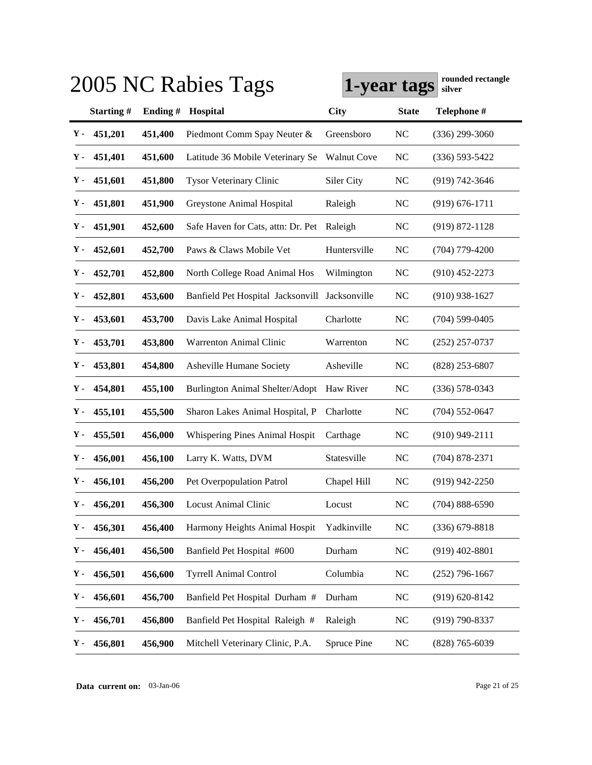|     |           |         | 2005 NC Rabies Tags                | 1-year tags        |                | rounded rectangle<br>silver |
|-----|-----------|---------|------------------------------------|--------------------|----------------|-----------------------------|
|     | Starting# | Ending# | Hospital                           | <b>City</b>        | <b>State</b>   | Telephone #                 |
| Υ.  | 451,201   | 451,400 | Piedmont Comm Spay Neuter &        | Greensboro         | NC             | $(336)$ 299-3060            |
| Υ.  | 451,401   | 451,600 | Latitude 36 Mobile Veterinary Se   | <b>Walnut Cove</b> | NC             | $(336) 593 - 5422$          |
| Υ.  | 451,601   | 451,800 | <b>Tysor Veterinary Clinic</b>     | Siler City         | NC             | $(919) 742 - 3646$          |
| Υ-  | 451,801   | 451,900 | Greystone Animal Hospital          | Raleigh            | NC             | $(919) 676 - 1711$          |
| Υ.  | 451,901   | 452,600 | Safe Haven for Cats, attn: Dr. Pet | Raleigh            | NC             | $(919) 872 - 1128$          |
| Υ-  | 452,601   | 452,700 | Paws & Claws Mobile Vet            | Huntersville       | NC             | $(704)$ 779-4200            |
| Υ-  | 452,701   | 452,800 | North College Road Animal Hos      | Wilmington         | <b>NC</b>      | $(910)$ 452-2273            |
| Υ.  | 452,801   | 453,600 | Banfield Pet Hospital Jacksonvill  | Jacksonville       | NC             | $(910)$ 938-1627            |
| Υ.  | 453,601   | 453,700 | Davis Lake Animal Hospital         | Charlotte          | NC             | $(704) 599 - 0405$          |
| Υ.  | 453,701   | 453,800 | <b>Warrenton Animal Clinic</b>     | Warrenton          | NC             | $(252)$ 257-0737            |
| Υ.  | 453,801   | 454,800 | Asheville Humane Society           | Asheville          | NC             | $(828)$ 253-6807            |
| Υ-  | 454,801   | 455,100 | Burlington Animal Shelter/Adopt    | Haw River          | NC             | $(336)$ 578-0343            |
| Υ.  | 455,101   | 455,500 | Sharon Lakes Animal Hospital, P    | Charlotte          | NC             | $(704)$ 552-0647            |
| Υ.  | 455,501   | 456,000 | Whispering Pines Animal Hospit     | Carthage           | NC             | $(910)$ 949-2111            |
| Υ-  | 456,001   | 456,100 | Larry K. Watts, DVM                | Statesville        | NC             | $(704)$ 878-2371            |
| Υ-  | 456,101   | 456,200 | Pet Overpopulation Patrol          | Chapel Hill        | NC             | $(919)$ 942-2250            |
| Y - | 456,201   | 456,300 | <b>Locust Animal Clinic</b>        | Locust             | NC             | $(704) 888 - 6590$          |
| Υ.  | 456,301   | 456,400 | Harmony Heights Animal Hospit      | Yadkinville        | NC             | $(336)$ 679-8818            |
| Υ.  | 456,401   | 456,500 | Banfield Pet Hospital #600         | Durham             | NC             | $(919)$ 402-8801            |
| Υ.  | 456,501   | 456,600 | <b>Tyrrell Animal Control</b>      | Columbia           | NC             | $(252)$ 796-1667            |
| Υ.  | 456,601   | 456,700 | Banfield Pet Hospital Durham #     | Durham             | N <sub>C</sub> | $(919) 620 - 8142$          |
| Υ.  | 456,701   | 456,800 | Banfield Pet Hospital Raleigh #    | Raleigh            | NC             | (919) 790-8337              |
| Υ-  | 456,801   | 456,900 | Mitchell Veterinary Clinic, P.A.   | Spruce Pine        | NC             | $(828)$ 765-6039            |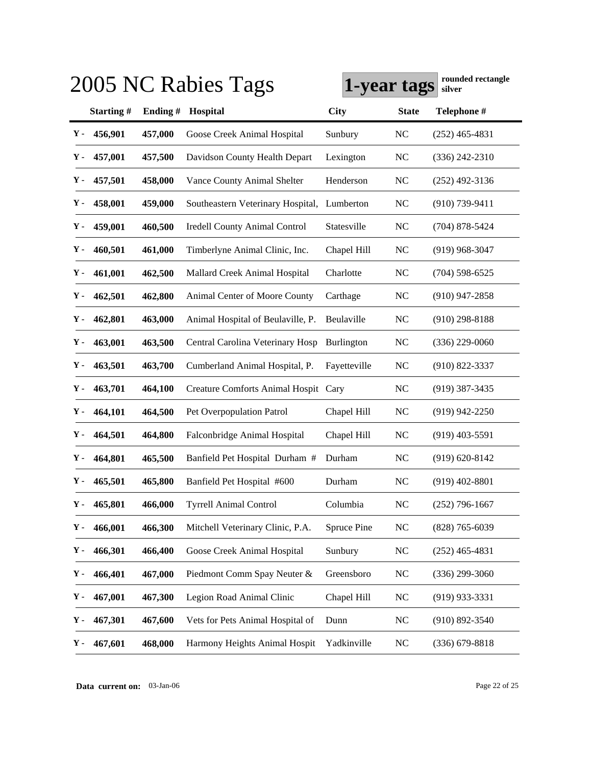|     |           |         | 2005 NC Rabies Tags                  | 1-year tags       |              | rounded rectangle<br>silver |
|-----|-----------|---------|--------------------------------------|-------------------|--------------|-----------------------------|
|     | Starting# | Ending# | Hospital                             | <b>City</b>       | <b>State</b> | Telephone #                 |
| Υ.  | 456,901   | 457,000 | Goose Creek Animal Hospital          | Sunbury           | NC           | $(252)$ 465-4831            |
| Υ.  | 457,001   | 457,500 | Davidson County Health Depart        | Lexington         | NC           | $(336)$ 242-2310            |
| Υ.  | 457,501   | 458,000 | Vance County Animal Shelter          | Henderson         | <b>NC</b>    | $(252)$ 492-3136            |
| Υ-  | 458,001   | 459,000 | Southeastern Veterinary Hospital,    | Lumberton         | NC           | $(910) 739 - 9411$          |
| Υ.  | 459,001   | 460,500 | <b>Iredell County Animal Control</b> | Statesville       | NC           | $(704)$ 878-5424            |
| Υ-  | 460,501   | 461,000 | Timberlyne Animal Clinic, Inc.       | Chapel Hill       | NC           | $(919)$ 968-3047            |
| Υ.  | 461,001   | 462,500 | Mallard Creek Animal Hospital        | Charlotte         | NC           | $(704)$ 598-6525            |
| Υ.  | 462,501   | 462,800 | Animal Center of Moore County        | Carthage          | NC           | $(910)$ 947-2858            |
| Υ-  | 462,801   | 463,000 | Animal Hospital of Beulaville, P.    | Beulaville        | NC           | $(910)$ 298-8188            |
| Υ.  | 463,001   | 463,500 | Central Carolina Veterinary Hosp     | <b>Burlington</b> | NC           | $(336)$ 229-0060            |
| Υ.  | 463,501   | 463,700 | Cumberland Animal Hospital, P.       | Fayetteville      | <b>NC</b>    | $(910) 822 - 3337$          |
| Υ-  | 463,701   | 464,100 | Creature Comforts Animal Hospit Cary |                   | $\rm NC$     | $(919)$ 387-3435            |
| Υ.  | 464,101   | 464,500 | Pet Overpopulation Patrol            | Chapel Hill       | NC           | $(919)$ 942-2250            |
| Υ.  | 464,501   | 464,800 | Falconbridge Animal Hospital         | Chapel Hill       | NC           | $(919)$ 403-5591            |
| Υ-  | 464,801   | 465,500 | Banfield Pet Hospital Durham #       | Durham            | NC           | $(919) 620 - 8142$          |
| Υ-  | 465,501   | 465,800 | Banfield Pet Hospital #600           | Durham            | NC           | $(919)$ 402-8801            |
| Y - | 465,801   | 466,000 | <b>Tyrrell Animal Control</b>        | Columbia          | NC           | $(252)$ 796-1667            |
| γ.  | 466,001   | 466,300 | Mitchell Veterinary Clinic, P.A.     | Spruce Pine       | <b>NC</b>    | $(828)$ 765-6039            |
| Υ.  | 466,301   | 466,400 | Goose Creek Animal Hospital          | Sunbury           | NC           | $(252)$ 465-4831            |
| Υ.  | 466,401   | 467,000 | Piedmont Comm Spay Neuter &          | Greensboro        | NC           | $(336)$ 299-3060            |
| Υ.  | 467,001   | 467,300 | Legion Road Animal Clinic            | Chapel Hill       | NC           | $(919)$ 933-3331            |
| Υ.  | 467,301   | 467,600 | Vets for Pets Animal Hospital of     | Dunn              | NC           | $(910) 892 - 3540$          |
| Υ-  | 467,601   | 468,000 | Harmony Heights Animal Hospit        | Yadkinville       | NC           | $(336)$ 679-8818            |

**Data current on:** 03-Jan-06 Page 22 of 25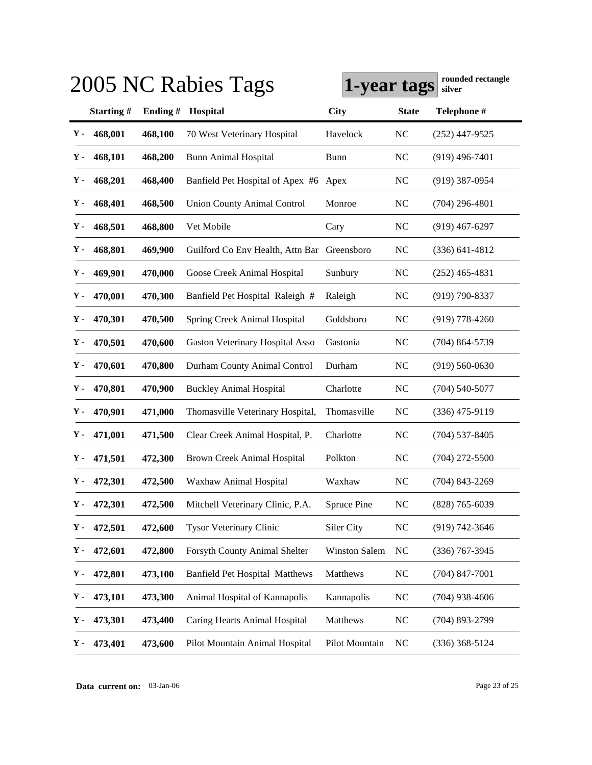|    |               |         | 2005 NC Rabies Tags                         | 1-year tags          |                | rounded rectangle<br>silver |
|----|---------------|---------|---------------------------------------------|----------------------|----------------|-----------------------------|
|    | Starting#     | Ending# | Hospital                                    | <b>City</b>          | <b>State</b>   | Telephone #                 |
| Υ- | 468,001       | 468,100 | 70 West Veterinary Hospital                 | Havelock             | <b>NC</b>      | $(252)$ 447-9525            |
| Υ. | 468,101       | 468,200 | <b>Bunn Animal Hospital</b>                 | Bunn                 | <b>NC</b>      | $(919)$ 496-7401            |
| Υ. | 468,201       | 468,400 | Banfield Pet Hospital of Apex #6            | Apex                 | <b>NC</b>      | $(919)$ 387-0954            |
| Υ. | 468,401       | 468,500 | <b>Union County Animal Control</b>          | Monroe               | <b>NC</b>      | $(704)$ 296-4801            |
| Υ. | 468,501       | 468,800 | Vet Mobile                                  | Cary                 | <b>NC</b>      | $(919)$ 467-6297            |
| Υ. | 468,801       | 469,900 | Guilford Co Env Health, Attn Bar Greensboro |                      | NC             | $(336)$ 641-4812            |
| Υ. | 469,901       | 470,000 | Goose Creek Animal Hospital                 | Sunbury              | <b>NC</b>      | $(252)$ 465-4831            |
| Υ- | 470,001       | 470,300 | Banfield Pet Hospital Raleigh #             | Raleigh              | N <sub>C</sub> | $(919)$ 790-8337            |
| Υ. | 470,301       | 470,500 | Spring Creek Animal Hospital                | Goldsboro            | <b>NC</b>      | $(919)$ 778-4260            |
| Υ- | 470,501       | 470,600 | Gaston Veterinary Hospital Asso             | Gastonia             | <b>NC</b>      | $(704) 864 - 5739$          |
| Υ. | 470,601       | 470,800 | Durham County Animal Control                | Durham               | <b>NC</b>      | $(919) 560 - 0630$          |
| Υ- | 470,801       | 470,900 | <b>Buckley Animal Hospital</b>              | Charlotte            | <b>NC</b>      | $(704)$ 540-5077            |
| Υ. | 470,901       | 471,000 | Thomasville Veterinary Hospital,            | Thomasville          | NC             | $(336)$ 475-9119            |
| Υ- | 471,001       | 471,500 | Clear Creek Animal Hospital, P.             | Charlotte            | <b>NC</b>      | $(704)$ 537-8405            |
| Υ- | 471,501       | 472,300 | <b>Brown Creek Animal Hospital</b>          | Polkton              | NC             | $(704)$ 272-5500            |
| Υ. | 472,301       | 472,500 | Waxhaw Animal Hospital                      | Waxhaw               | <b>NC</b>      | $(704)$ 843-2269            |
|    | $Y - 472,301$ | 472,500 | Mitchell Veterinary Clinic, P.A.            | Spruce Pine          | N <sub>C</sub> | $(828)$ 765-6039            |
| Υ. | 472,501       | 472,600 | <b>Tysor Veterinary Clinic</b>              | Siler City           | <b>NC</b>      | (919) 742-3646              |
| Υ. | 472,601       | 472,800 | Forsyth County Animal Shelter               | <b>Winston Salem</b> | <b>NC</b>      | $(336)$ 767-3945            |
| Υ- | 472,801       | 473,100 | <b>Banfield Pet Hospital Matthews</b>       | Matthews             | $\rm NC$       | $(704)$ 847-7001            |
| Υ- | 473,101       | 473,300 | Animal Hospital of Kannapolis               | Kannapolis           | N <sub>C</sub> | $(704)$ 938-4606            |
| Υ- | 473,301       | 473,400 | Caring Hearts Animal Hospital               | Matthews             | $\rm NC$       | $(704)$ 893-2799            |
| Υ. | 473,401       | 473,600 | Pilot Mountain Animal Hospital              | Pilot Mountain       | NC             | $(336)$ 368-5124            |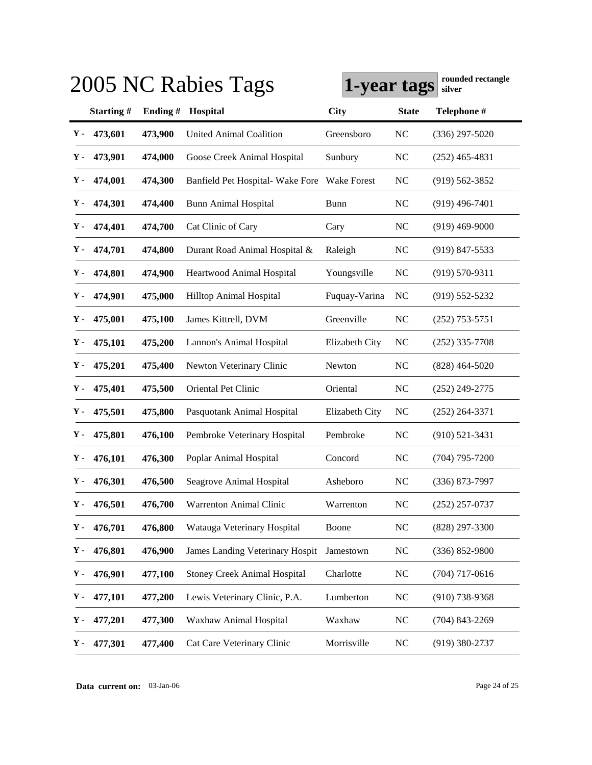|               |           |         | 2005 NC Rabies Tags                 | 1-year tags        |                | rounded rectangle<br>silver |
|---------------|-----------|---------|-------------------------------------|--------------------|----------------|-----------------------------|
|               | Starting# | Ending# | Hospital                            | <b>City</b>        | <b>State</b>   | Telephone #                 |
| Υ-            | 473,601   | 473,900 | <b>United Animal Coalition</b>      | Greensboro         | <b>NC</b>      | $(336)$ 297-5020            |
| Υ-            | 473,901   | 474,000 | Goose Creek Animal Hospital         | Sunbury            | <b>NC</b>      | $(252)$ 465-4831            |
| Υ-            | 474,001   | 474,300 | Banfield Pet Hospital- Wake Fore    | <b>Wake Forest</b> | N <sub>C</sub> | $(919) 562 - 3852$          |
| Υ-            | 474,301   | 474,400 | <b>Bunn Animal Hospital</b>         | <b>Bunn</b>        | <b>NC</b>      | $(919)$ 496-7401            |
| Υ-            | 474,401   | 474,700 | Cat Clinic of Cary                  | Cary               | NC             | $(919)$ 469-9000            |
| Υ-            | 474,701   | 474,800 | Durant Road Animal Hospital &       | Raleigh            | <b>NC</b>      | $(919)$ 847-5533            |
| Υ-            | 474,801   | 474,900 | Heartwood Animal Hospital           | Youngsville        | NC             | $(919) 570 - 9311$          |
| Υ-            | 474,901   | 475,000 | Hilltop Animal Hospital             | Fuquay-Varina      | NC             | $(919) 552 - 5232$          |
| Υ.            | 475,001   | 475,100 | James Kittrell, DVM                 | Greenville         | N <sub>C</sub> | $(252)$ 753-5751            |
| Υ-            | 475,101   | 475,200 | Lannon's Animal Hospital            | Elizabeth City     | NC             | $(252)$ 335-7708            |
| Υ-            | 475,201   | 475,400 | Newton Veterinary Clinic            | Newton             | NC             | $(828)$ 464-5020            |
| Υ-            | 475,401   | 475,500 | Oriental Pet Clinic                 | Oriental           | NC             | $(252)$ 249-2775            |
| Υ.            | 475,501   | 475,800 | Pasquotank Animal Hospital          | Elizabeth City     | NC             | $(252)$ 264-3371            |
| Υ-            | 475,801   | 476,100 | Pembroke Veterinary Hospital        | Pembroke           | N <sub>C</sub> | $(910)$ 521-3431            |
| Υ-            | 476,101   | 476,300 | Poplar Animal Hospital              | Concord            | N <sub>C</sub> | $(704)$ 795-7200            |
| Υ-            | 476,301   | 476,500 | Seagrove Animal Hospital            | Asheboro           | N <sub>C</sub> | $(336)$ 873-7997            |
| Y -           | 476,501   | 476,700 | Warrenton Animal Clinic             | Warrenton          | N <sub>C</sub> | $(252)$ 257-0737            |
| Υ-            | 476,701   | 476,800 | Watauga Veterinary Hospital         | Boone              | NC             | (828) 297-3300              |
| γ.            | 476,801   | 476,900 | James Landing Veterinary Hospit     | Jamestown          | <b>NC</b>      | $(336) 852 - 9800$          |
| Υ.            | 476,901   | 477,100 | <b>Stoney Creek Animal Hospital</b> | Charlotte          | <b>NC</b>      | $(704)$ 717-0616            |
| Υ.            | 477,101   | 477,200 | Lewis Veterinary Clinic, P.A.       | Lumberton          | <b>NC</b>      | $(910)$ 738-9368            |
| Υ.            | 477,201   | 477,300 | Waxhaw Animal Hospital              | Waxhaw             | <b>NC</b>      | $(704)$ 843-2269            |
| $\mathbf Y$ - | 477,301   | 477,400 | Cat Care Veterinary Clinic          | Morrisville        | <b>NC</b>      | $(919)$ 380-2737            |

**Data current on:** 03-Jan-06 Page 24 of 25